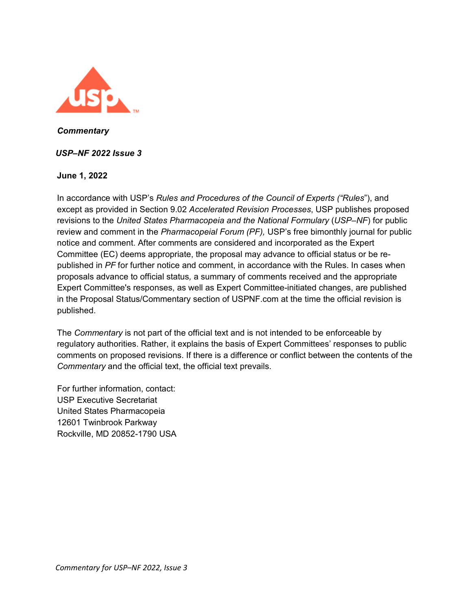

*Commentary* 

### *USP–NF 2022 Issue 3*

#### **June 1, 2022**

In accordance with USP's *Rules and Procedures of the Council of Experts ("Rules*"), and except as provided in Section 9.02 *Accelerated Revision Processes*, USP publishes proposed revisions to the *United States Pharmacopeia and the National Formulary* (*USP–NF*) for public review and comment in the *Pharmacopeial Forum (PF),* USP's free bimonthly journal for public notice and comment. After comments are considered and incorporated as the Expert Committee (EC) deems appropriate, the proposal may advance to official status or be republished in *PF* for further notice and comment, in accordance with the Rules. In cases when proposals advance to official status*,* a summary of comments received and the appropriate Expert Committee's responses, as well as Expert Committee-initiated changes, are published in the Proposal Status/Commentary section of USPNF.com at the time the official revision is published.

The *Commentary* is not part of the official text and is not intended to be enforceable by regulatory authorities. Rather, it explains the basis of Expert Committees' responses to public comments on proposed revisions. If there is a difference or conflict between the contents of the *Commentary* and the official text, the official text prevails.

For further information, contact: USP Executive Secretariat United States Pharmacopeia 12601 Twinbrook Parkway Rockville, MD 20852-1790 USA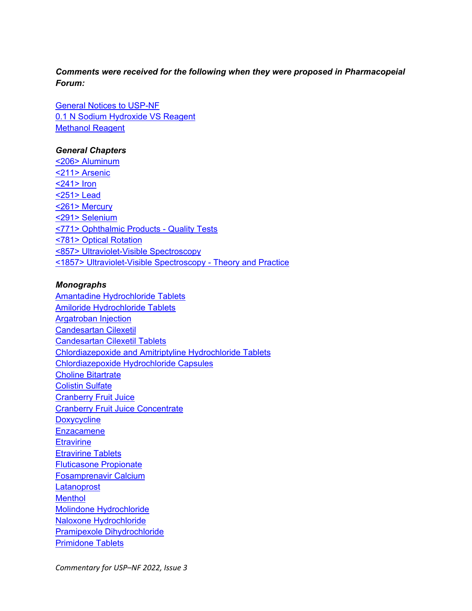# *Comments were received for the following when they were proposed in Pharmacopeial Forum:*

[General Notices to USP-NF](#page-3-0) [0.1 N Sodium Hydroxide VS Reagent](#page-4-0) [Methanol Reagent](#page-4-1)

### *General Chapters*

[<206> Aluminum](#page-5-0) [<211> Arsenic](#page-8-0) [<241> Iron](#page-8-1) [<251> Lead](#page-8-2) [<261> Mercury](#page-9-0) [<291> Selenium](#page-9-1) [<771> Ophthalmic Products - Quality Tests](#page-9-2) [<781> Optical Rotation](#page-5-0) [<857> Ultraviolet-Visible Spectroscopy](#page-12-0) [<1857> Ultraviolet-Visible Spectroscopy - Theory and Practice](#page-19-0)

#### *Monographs*

[Amantadine Hydrochloride Tablets](#page-21-0) [Amiloride Hydrochloride Tablets](#page-21-0) [Argatroban Injection](#page-22-0) [Candesartan Cilexetil](#page-24-0) [Candesartan Cilexetil Tablets](#page-24-1) [Chlordiazepoxide and Amitriptyline Hydrochloride Tablets](#page-25-0) [Chlordiazepoxide Hydrochloride Capsules](#page-25-1) [Choline Bitartrate](#page-29-0) [Colistin Sulfate](#page-26-0) [Cranberry Fruit Juice](#page-26-1) [Cranberry Fruit Juice Concentrate](#page-26-1) **[Doxycycline](#page-29-1) [Enzacamene](#page-30-0) [Etravirine](#page-30-1)** [Etravirine Tablets](#page-30-2) [Fluticasone Propionate](#page-31-0) [Fosamprenavir Calcium](#page-31-1) **[Latanoprost](#page-32-0) [Menthol](#page-33-0)** [Molindone Hydrochloride](#page-33-1) [Naloxone Hydrochloride](#page-33-2) [Pramipexole Dihydrochloride](#page-34-0) [Primidone Tablets](#page-34-1)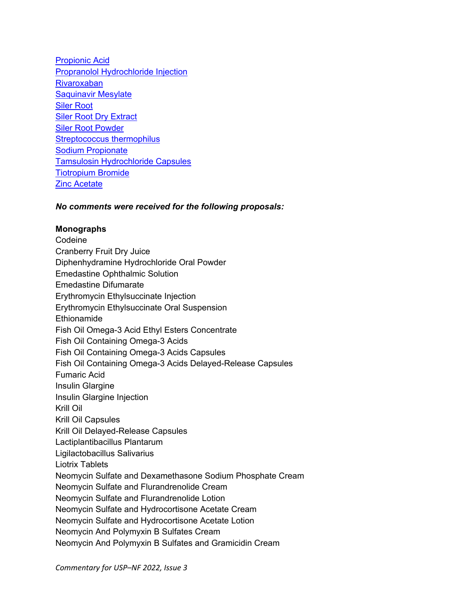[Propionic Acid](#page-34-2) [Propranolol Hydrochloride Injection](#page-35-0) [Rivaroxaban](#page-35-1)  [Saquinavir Mesylate](#page-36-0) [Siler Root](#page-37-0) [Siler Root Dry Extract](#page-37-0) [Siler Root Powder](#page-37-0) [Streptococcus thermophilus](#page-37-1) [Sodium Propionate](#page-37-2) [Tamsulosin Hydrochloride Capsules](#page-38-0) [Tiotropium Bromide](#page-39-0) [Zinc Acetate](#page-37-3)

*No comments were received for the following proposals:* 

#### **Monographs**

**Codeine** Cranberry Fruit Dry Juice Diphenhydramine Hydrochloride Oral Powder Emedastine Ophthalmic Solution Emedastine Difumarate Erythromycin Ethylsuccinate Injection Erythromycin Ethylsuccinate Oral Suspension Ethionamide Fish Oil Omega-3 Acid Ethyl Esters Concentrate Fish Oil Containing Omega-3 Acids Fish Oil Containing Omega-3 Acids Capsules Fish Oil Containing Omega-3 Acids Delayed-Release Capsules Fumaric Acid Insulin Glargine Insulin Glargine Injection Krill Oil Krill Oil Capsules Krill Oil Delayed-Release Capsules Lactiplantibacillus Plantarum Ligilactobacillus Salivarius Liotrix Tablets Neomycin Sulfate and Dexamethasone Sodium Phosphate Cream Neomycin Sulfate and Flurandrenolide Cream Neomycin Sulfate and Flurandrenolide Lotion Neomycin Sulfate and Hydrocortisone Acetate Cream Neomycin Sulfate and Hydrocortisone Acetate Lotion Neomycin And Polymyxin B Sulfates Cream Neomycin And Polymyxin B Sulfates and Gramicidin Cream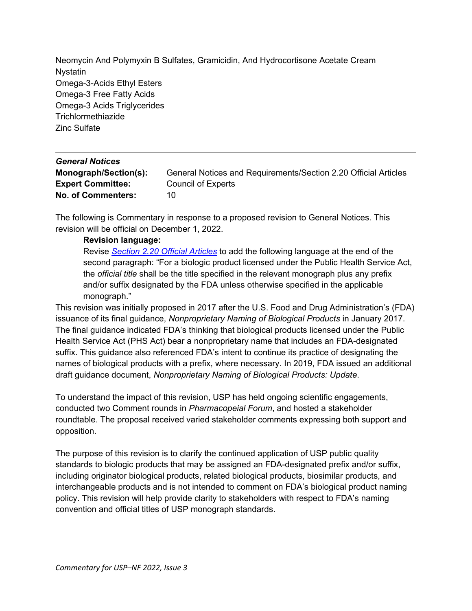Neomycin And Polymyxin B Sulfates, Gramicidin, And Hydrocortisone Acetate Cream Nystatin Omega-3-Acids Ethyl Esters Omega-3 Free Fatty Acids Omega-3 Acids Triglycerides **Trichlormethiazide** Zinc Sulfate

<span id="page-3-0"></span>

| <b>General Notices</b>    |                                                                 |
|---------------------------|-----------------------------------------------------------------|
| Monograph/Section(s):     | General Notices and Requirements/Section 2.20 Official Articles |
| <b>Expert Committee:</b>  | <b>Council of Experts</b>                                       |
| <b>No. of Commenters:</b> | 10                                                              |

The following is Commentary in response to a proposed revision to General Notices. This revision will be official on December 1, 2022.

# **Revision language:**

Revise *[Section 2.20 Official Articles](https://online.usppf.com/usppf/document/GUID-6E790F63-0496-4C20-AF21-E7C283E3343E_60101_en-US#M99989S13)* to add the following language at the end of the second paragraph: "For a biologic product licensed under the Public Health Service Act, the *official title* shall be the title specified in the relevant monograph plus any prefix and/or suffix designated by the FDA unless otherwise specified in the applicable monograph."

This revision was initially proposed in 2017 after the U.S. Food and Drug Administration's (FDA) issuance of its final guidance, *Nonproprietary Naming of Biological Products* in January 2017. The final guidance indicated FDA's thinking that biological products licensed under the Public Health Service Act (PHS Act) bear a nonproprietary name that includes an FDA-designated suffix. This guidance also referenced FDA's intent to continue its practice of designating the names of biological products with a prefix, where necessary. In 2019, FDA issued an additional draft guidance document, *Nonproprietary Naming of Biological Products: Update*.

To understand the impact of this revision, USP has held ongoing scientific engagements, conducted two Comment rounds in *Pharmacopeial Forum*, and hosted a stakeholder roundtable. The proposal received varied stakeholder comments expressing both support and opposition.

The purpose of this revision is to clarify the continued application of USP public quality standards to biologic products that may be assigned an FDA-designated prefix and/or suffix, including originator biological products, related biological products, biosimilar products, and interchangeable products and is not intended to comment on FDA's biological product naming policy. This revision will help provide clarity to stakeholders with respect to FDA's naming convention and official titles of USP monograph standards.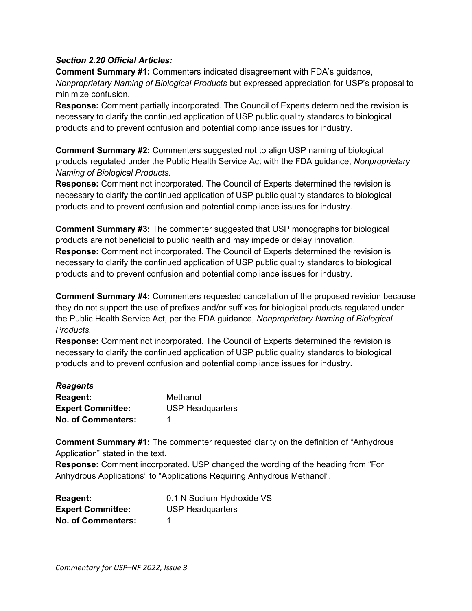### *Section 2.20 Official Articles:*

**Comment Summary #1:** Commenters indicated disagreement with FDA's guidance, *Nonproprietary Naming of Biological Products* but expressed appreciation for USP's proposal to minimize confusion.

**Response:** Comment partially incorporated. The Council of Experts determined the revision is necessary to clarify the continued application of USP public quality standards to biological products and to prevent confusion and potential compliance issues for industry.

**Comment Summary #2:** Commenters suggested not to align USP naming of biological products regulated under the Public Health Service Act with the FDA guidance, *Nonproprietary Naming of Biological Products.* 

**Response:** Comment not incorporated. The Council of Experts determined the revision is necessary to clarify the continued application of USP public quality standards to biological products and to prevent confusion and potential compliance issues for industry.

**Comment Summary #3:** The commenter suggested that USP monographs for biological products are not beneficial to public health and may impede or delay innovation. **Response:** Comment not incorporated. The Council of Experts determined the revision is necessary to clarify the continued application of USP public quality standards to biological products and to prevent confusion and potential compliance issues for industry.

**Comment Summary #4:** Commenters requested cancellation of the proposed revision because they do not support the use of prefixes and/or suffixes for biological products regulated under the Public Health Service Act, per the FDA guidance, *Nonproprietary Naming of Biological Products.* 

**Response:** Comment not incorporated. The Council of Experts determined the revision is necessary to clarify the continued application of USP public quality standards to biological products and to prevent confusion and potential compliance issues for industry.

<span id="page-4-1"></span>

| <b>Reagents</b>           |                         |
|---------------------------|-------------------------|
| <b>Reagent:</b>           | Methanol                |
| <b>Expert Committee:</b>  | <b>USP Headquarters</b> |
| <b>No. of Commenters:</b> |                         |

**Comment Summary #1:** The commenter requested clarity on the definition of "Anhydrous Application" stated in the text.

**Response:** Comment incorporated. USP changed the wording of the heading from "For Anhydrous Applications" to "Applications Requiring Anhydrous Methanol".

<span id="page-4-0"></span>

| <b>Reagent:</b>           | 0.1 N Sodium Hydroxide VS |
|---------------------------|---------------------------|
| <b>Expert Committee:</b>  | <b>USP Headquarters</b>   |
| <b>No. of Commenters:</b> |                           |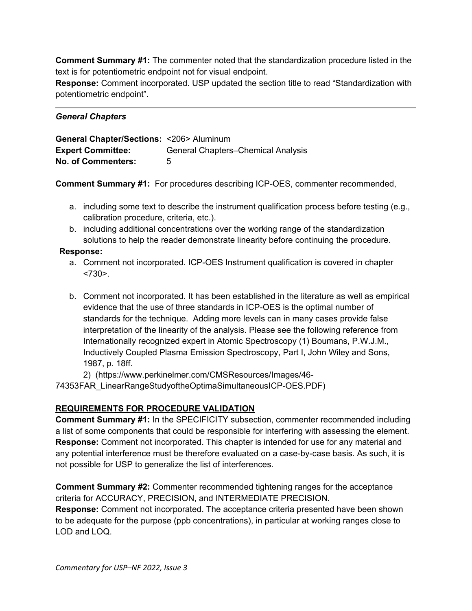**Comment Summary #1:** The commenter noted that the standardization procedure listed in the text is for potentiometric endpoint not for visual endpoint.

**Response:** Comment incorporated. USP updated the section title to read "Standardization with potentiometric endpoint".

# *General Chapters*

<span id="page-5-0"></span>

| General Chapter/Sections: <206> Aluminum |                                           |
|------------------------------------------|-------------------------------------------|
| <b>Expert Committee:</b>                 | <b>General Chapters–Chemical Analysis</b> |
| <b>No. of Commenters:</b>                | 5                                         |

**Comment Summary #1:** For procedures describing ICP-OES, commenter recommended,

- a. including some text to describe the instrument qualification process before testing (e.g., calibration procedure, criteria, etc.).
- b. including additional concentrations over the working range of the standardization solutions to help the reader demonstrate linearity before continuing the procedure.

# **Response:**

- a. Comment not incorporated. ICP-OES Instrument qualification is covered in chapter  $< 730$
- b. Comment not incorporated. It has been established in the literature as well as empirical evidence that the use of three standards in ICP-OES is the optimal number of standards for the technique. Adding more levels can in many cases provide false interpretation of the linearity of the analysis. Please see the following reference from Internationally recognized expert in Atomic Spectroscopy (1) Boumans, P.W.J.M., Inductively Coupled Plasma Emission Spectroscopy, Part I, John Wiley and Sons, 1987, p. 18ff.

2) (https://www.perkinelmer.com/CMSResources/Images/46-

74353FAR\_LinearRangeStudyoftheOptimaSimultaneousICP-OES.PDF)

# **REQUIREMENTS FOR PROCEDURE VALIDATION**

**Comment Summary #1:** In the SPECIFICITY subsection, commenter recommended including a list of some components that could be responsible for interfering with assessing the element. **Response:** Comment not incorporated. This chapter is intended for use for any material and any potential interference must be therefore evaluated on a case-by-case basis. As such, it is not possible for USP to generalize the list of interferences.

**Comment Summary #2:** Commenter recommended tightening ranges for the acceptance criteria for ACCURACY, PRECISION, and INTERMEDIATE PRECISION. **Response:** Comment not incorporated. The acceptance criteria presented have been shown

to be adequate for the purpose (ppb concentrations), in particular at working ranges close to LOD and LOQ.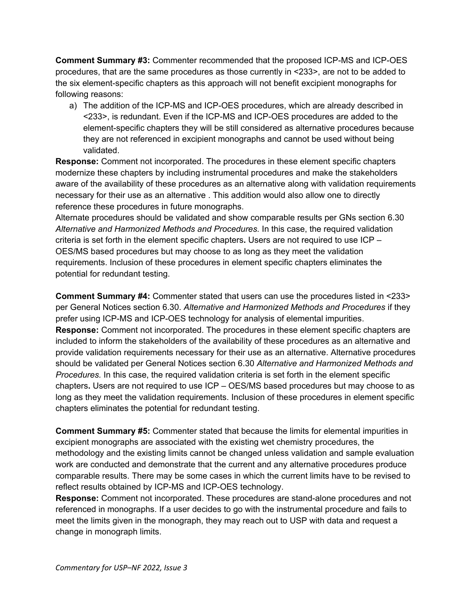**Comment Summary #3:** Commenter recommended that the proposed ICP-MS and ICP-OES procedures, that are the same procedures as those currently in <233>, are not to be added to the six element-specific chapters as this approach will not benefit excipient monographs for following reasons:

a) The addition of the ICP-MS and ICP-OES procedures, which are already described in <233>, is redundant. Even if the ICP-MS and ICP-OES procedures are added to the element-specific chapters they will be still considered as alternative procedures because they are not referenced in excipient monographs and cannot be used without being validated.

**Response:** Comment not incorporated. The procedures in these element specific chapters modernize these chapters by including instrumental procedures and make the stakeholders aware of the availability of these procedures as an alternative along with validation requirements necessary for their use as an alternative . This addition would also allow one to directly reference these procedures in future monographs.

Alternate procedures should be validated and show comparable results per GNs section 6.30 *Alternative and Harmonized Methods and Procedures.* In this case, the required validation criteria is set forth in the element specific chapters**.** Users are not required to use ICP – OES/MS based procedures but may choose to as long as they meet the validation requirements. Inclusion of these procedures in element specific chapters eliminates the potential for redundant testing.

**Comment Summary #4:** Commenter stated that users can use the procedures listed in <233> per General Notices section 6.30. *Alternative and Harmonized Methods and Procedures* if they prefer using ICP-MS and ICP-OES technology for analysis of elemental impurities. **Response:** Comment not incorporated. The procedures in these element specific chapters are included to inform the stakeholders of the availability of these procedures as an alternative and provide validation requirements necessary for their use as an alternative. Alternative procedures should be validated per General Notices section 6.30 *Alternative and Harmonized Methods and Procedures.* In this case, the required validation criteria is set forth in the element specific chapters**.** Users are not required to use ICP – OES/MS based procedures but may choose to as long as they meet the validation requirements. Inclusion of these procedures in element specific chapters eliminates the potential for redundant testing.

**Comment Summary #5:** Commenter stated that because the limits for elemental impurities in excipient monographs are associated with the existing wet chemistry procedures, the methodology and the existing limits cannot be changed unless validation and sample evaluation work are conducted and demonstrate that the current and any alternative procedures produce comparable results. There may be some cases in which the current limits have to be revised to reflect results obtained by ICP-MS and ICP-OES technology.

**Response:** Comment not incorporated. These procedures are stand-alone procedures and not referenced in monographs. If a user decides to go with the instrumental procedure and fails to meet the limits given in the monograph, they may reach out to USP with data and request a change in monograph limits.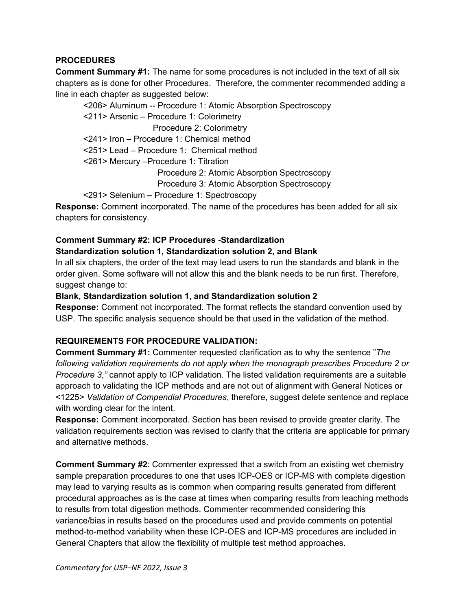## **PROCEDURES**

**Comment Summary #1:** The name for some procedures is not included in the text of all six chapters as is done for other Procedures. Therefore, the commenter recommended adding a line in each chapter as suggested below:

<206> Aluminum -- Procedure 1: Atomic Absorption Spectroscopy <211> Arsenic – Procedure 1: Colorimetry Procedure 2: Colorimetry <241> Iron – Procedure 1: Chemical method <251> Lead – Procedure 1: Chemical method <261> Mercury –Procedure 1: Titration Procedure 2: Atomic Absorption Spectroscopy Procedure 3: Atomic Absorption Spectroscopy <291> Selenium **–** Procedure 1: Spectroscopy

**Response:** Comment incorporated. The name of the procedures has been added for all six chapters for consistency.

# **Comment Summary #2: ICP Procedures -Standardization Standardization solution 1, Standardization solution 2, and Blank**

In all six chapters, the order of the text may lead users to run the standards and blank in the order given. Some software will not allow this and the blank needs to be run first. Therefore, suggest change to:

### **Blank, Standardization solution 1, and Standardization solution 2**

**Response:** Comment not incorporated. The format reflects the standard convention used by USP. The specific analysis sequence should be that used in the validation of the method.

# **REQUIREMENTS FOR PROCEDURE VALIDATION:**

**Comment Summary #1:** Commenter requested clarification as to why the sentence "*The following validation requirements do not apply when the monograph prescribes Procedure 2 or Procedure 3,"* cannot apply to ICP validation. The listed validation requirements are a suitable approach to validating the ICP methods and are not out of alignment with General Notices or <1225> *Validation of Compendial Procedures*, therefore, suggest delete sentence and replace with wording clear for the intent.

**Response:** Comment incorporated. Section has been revised to provide greater clarity. The validation requirements section was revised to clarify that the criteria are applicable for primary and alternative methods.

**Comment Summary #2**: Commenter expressed that a switch from an existing wet chemistry sample preparation procedures to one that uses ICP-OES or ICP-MS with complete digestion may lead to varying results as is common when comparing results generated from different procedural approaches as is the case at times when comparing results from leaching methods to results from total digestion methods. Commenter recommended considering this variance/bias in results based on the procedures used and provide comments on potential method-to-method variability when these ICP-OES and ICP-MS procedures are included in General Chapters that allow the flexibility of multiple test method approaches.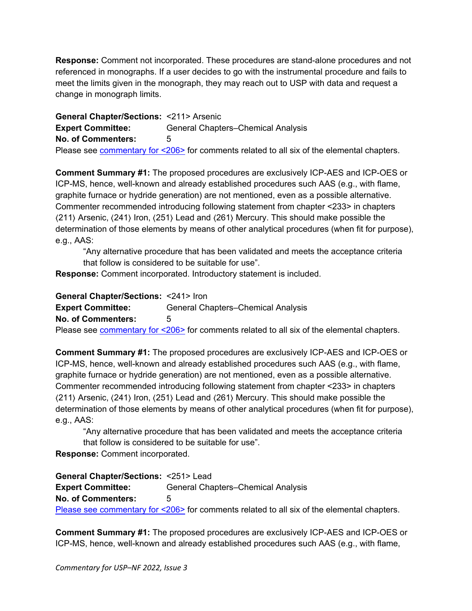**Response:** Comment not incorporated. These procedures are stand-alone procedures and not referenced in monographs. If a user decides to go with the instrumental procedure and fails to meet the limits given in the monograph, they may reach out to USP with data and request a change in monograph limits.

<span id="page-8-0"></span>**General Chapter/Sections:** <211> Arsenic **Expert Committee:** General Chapters–Chemical Analysis **No. of Commenters:** 5 Please see [commentary for <206>](#page-5-0) for comments related to all six of the elemental chapters.

**Comment Summary #1:** The proposed procedures are exclusively ICP-AES and ICP-OES or ICP-MS, hence, well-known and already established procedures such AAS (e.g., with flame, graphite furnace or hydride generation) are not mentioned, even as a possible alternative. Commenter recommended introducing following statement from chapter <233> in chapters 〈211〉 Arsenic, 〈241〉 Iron, 〈251〉 Lead and 〈261〉 Mercury. This should make possible the determination of those elements by means of other analytical procedures (when fit for purpose), e.g., AAS:

"Any alternative procedure that has been validated and meets the acceptance criteria that follow is considered to be suitable for use".

<span id="page-8-1"></span>**Response:** Comment incorporated. Introductory statement is included.

**General Chapter/Sections:** <241> Iron **Expert Committee:** General Chapters–Chemical Analysis **No. of Commenters:** 5 Please see **commentary for <206>** for comments related to all six of the elemental chapters.

**Comment Summary #1:** The proposed procedures are exclusively ICP-AES and ICP-OES or ICP-MS, hence, well-known and already established procedures such AAS (e.g., with flame, graphite furnace or hydride generation) are not mentioned, even as a possible alternative. Commenter recommended introducing following statement from chapter <233> in chapters 〈211〉 Arsenic, 〈241〉 Iron, 〈251〉 Lead and 〈261〉 Mercury. This should make possible the determination of those elements by means of other analytical procedures (when fit for purpose), e.g., AAS:

"Any alternative procedure that has been validated and meets the acceptance criteria that follow is considered to be suitable for use".

<span id="page-8-2"></span>**Response:** Comment incorporated.

**General Chapter/Sections:** <251> Lead **Expert Committee:** General Chapters–Chemical Analysis **No. of Commenters:** 5 [Please see commentary for <206>](#page-5-0) for comments related to all six of the elemental chapters.

**Comment Summary #1:** The proposed procedures are exclusively ICP-AES and ICP-OES or ICP-MS, hence, well-known and already established procedures such AAS (e.g., with flame,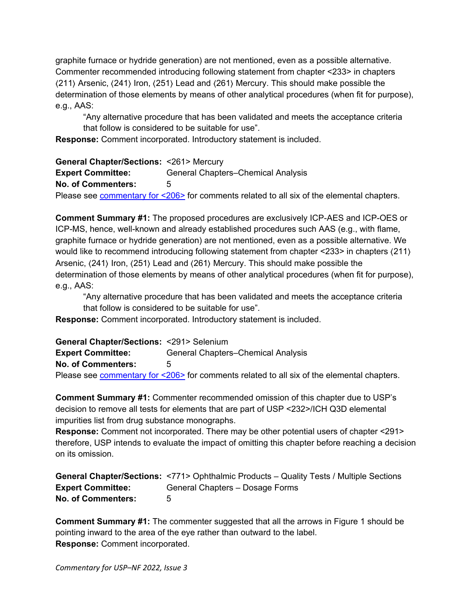graphite furnace or hydride generation) are not mentioned, even as a possible alternative. Commenter recommended introducing following statement from chapter <233> in chapters 〈211〉 Arsenic, 〈241〉 Iron, 〈251〉 Lead and 〈261〉 Mercury. This should make possible the determination of those elements by means of other analytical procedures (when fit for purpose), e.g., AAS:

"Any alternative procedure that has been validated and meets the acceptance criteria that follow is considered to be suitable for use".

<span id="page-9-0"></span>**Response:** Comment incorporated. Introductory statement is included.

**General Chapter/Sections:** <261> Mercury **Expert Committee:** General Chapters–Chemical Analysis **No. of Commenters:** 5 Please see [commentary for <206>](#page-5-0) for comments related to all six of the elemental chapters.

**Comment Summary #1:** The proposed procedures are exclusively ICP-AES and ICP-OES or ICP-MS, hence, well-known and already established procedures such AAS (e.g., with flame, graphite furnace or hydride generation) are not mentioned, even as a possible alternative. We would like to recommend introducing following statement from chapter <233> in chapters 〈211〉 Arsenic,  $\langle 241 \rangle$  Iron,  $\langle 251 \rangle$  Lead and  $\langle 261 \rangle$  Mercury. This should make possible the determination of those elements by means of other analytical procedures (when fit for purpose), e.g., AAS:

"Any alternative procedure that has been validated and meets the acceptance criteria that follow is considered to be suitable for use".

<span id="page-9-1"></span>**Response:** Comment incorporated. Introductory statement is included.

**General Chapter/Sections:** <291> Selenium **Expert Committee:** General Chapters–Chemical Analysis **No. of Commenters:** 5 Please see **commentary for <206>** for comments related to all six of the elemental chapters.

**Comment Summary #1:** Commenter recommended omission of this chapter due to USP's decision to remove all tests for elements that are part of USP <232>/ICH Q3D elemental impurities list from drug substance monographs.

**Response:** Comment not incorporated. There may be other potential users of chapter <291> therefore, USP intends to evaluate the impact of omitting this chapter before reaching a decision on its omission.

<span id="page-9-2"></span>**General Chapter/Sections:** <771> Ophthalmic Products – Quality Tests / Multiple Sections **Expert Committee:** General Chapters – Dosage Forms **No. of Commenters:** 5

**Comment Summary #1:** The commenter suggested that all the arrows in Figure 1 should be pointing inward to the area of the eye rather than outward to the label. **Response:** Comment incorporated.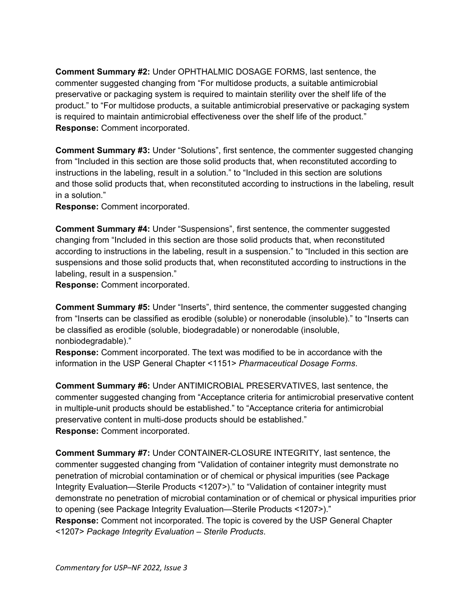**Comment Summary #2:** Under OPHTHALMIC DOSAGE FORMS, last sentence, the commenter suggested changing from "For multidose products, a suitable antimicrobial preservative or packaging system is required to maintain sterility over the shelf life of the product." to "For multidose products, a suitable antimicrobial preservative or packaging system is required to maintain antimicrobial effectiveness over the shelf life of the product." **Response:** Comment incorporated.

**Comment Summary #3:** Under "Solutions", first sentence, the commenter suggested changing from "Included in this section are those solid products that, when reconstituted according to instructions in the labeling, result in a solution." to "Included in this section are solutions and those solid products that, when reconstituted according to instructions in the labeling, result in a solution."

**Response:** Comment incorporated.

**Comment Summary #4:** Under "Suspensions", first sentence, the commenter suggested changing from "Included in this section are those solid products that, when reconstituted according to instructions in the labeling, result in a suspension." to "Included in this section are suspensions and those solid products that, when reconstituted according to instructions in the labeling, result in a suspension."

**Response:** Comment incorporated.

**Comment Summary #5:** Under "Inserts", third sentence, the commenter suggested changing from "Inserts can be classified as erodible (soluble) or nonerodable (insoluble)." to "Inserts can be classified as erodible (soluble, biodegradable) or nonerodable (insoluble, nonbiodegradable)."

**Response:** Comment incorporated. The text was modified to be in accordance with the information in the USP General Chapter <1151> *Pharmaceutical Dosage Forms*.

**Comment Summary #6:** Under ANTIMICROBIAL PRESERVATIVES, last sentence, the commenter suggested changing from "Acceptance criteria for antimicrobial preservative content in multiple-unit products should be established." to "Acceptance criteria for antimicrobial preservative content in multi-dose products should be established." **Response:** Comment incorporated.

**Comment Summary #7:** Under CONTAINER-CLOSURE INTEGRITY, last sentence, the commenter suggested changing from "Validation of container integrity must demonstrate no penetration of microbial contamination or of chemical or physical impurities (see Package Integrity Evaluation—Sterile Products <1207>)." to "Validation of container integrity must demonstrate no penetration of microbial contamination or of chemical or physical impurities prior to opening (see Package Integrity Evaluation—Sterile Products <1207>)." **Response:** Comment not incorporated. The topic is covered by the USP General Chapter <1207> *Package Integrity Evaluation – Sterile Products*.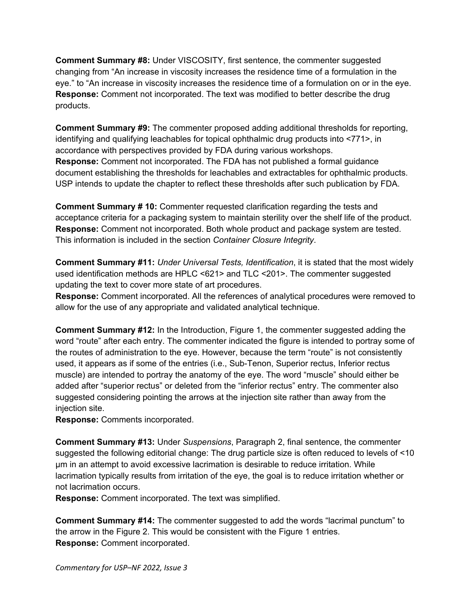**Comment Summary #8:** Under VISCOSITY, first sentence, the commenter suggested changing from "An increase in viscosity increases the residence time of a formulation in the eye." to "An increase in viscosity increases the residence time of a formulation on or in the eye. **Response:** Comment not incorporated. The text was modified to better describe the drug products.

**Comment Summary #9:** The commenter proposed adding additional thresholds for reporting, identifying and qualifying leachables for topical ophthalmic drug products into <771>, in accordance with perspectives provided by FDA during various workshops. **Response:** Comment not incorporated. The FDA has not published a formal guidance document establishing the thresholds for leachables and extractables for ophthalmic products. USP intends to update the chapter to reflect these thresholds after such publication by FDA.

**Comment Summary # 10:** Commenter requested clarification regarding the tests and acceptance criteria for a packaging system to maintain sterility over the shelf life of the product. **Response:** Comment not incorporated. Both whole product and package system are tested. This information is included in the section *Container Closure Integrity*.

**Comment Summary #11:** *Under Universal Tests, Identification*, it is stated that the most widely used identification methods are HPLC <621> and TLC <201>. The commenter suggested updating the text to cover more state of art procedures.

**Response:** Comment incorporated. All the references of analytical procedures were removed to allow for the use of any appropriate and validated analytical technique.

**Comment Summary #12:** In the Introduction, Figure 1, the commenter suggested adding the word "route" after each entry. The commenter indicated the figure is intended to portray some of the routes of administration to the eye. However, because the term "route" is not consistently used, it appears as if some of the entries (i.e., Sub-Tenon, Superior rectus, Inferior rectus muscle) are intended to portray the anatomy of the eye. The word "muscle" should either be added after "superior rectus" or deleted from the "inferior rectus" entry. The commenter also suggested considering pointing the arrows at the injection site rather than away from the injection site.

**Response:** Comments incorporated.

**Comment Summary #13:** Under *Suspensions*, Paragraph 2, final sentence, the commenter suggested the following editorial change: The drug particle size is often reduced to levels of <10 μm in an attempt to avoid excessive lacrimation is desirable to reduce irritation. While lacrimation typically results from irritation of the eye, the goal is to reduce irritation whether or not lacrimation occurs.

**Response:** Comment incorporated. The text was simplified.

**Comment Summary #14:** The commenter suggested to add the words "lacrimal punctum" to the arrow in the Figure 2. This would be consistent with the Figure 1 entries. **Response:** Comment incorporated.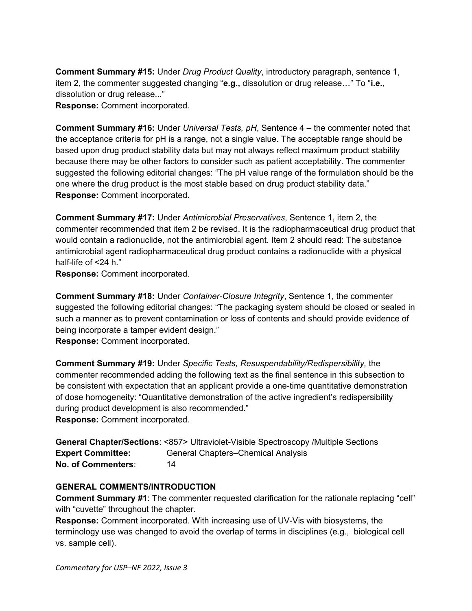**Comment Summary #15:** Under *Drug Product Quality*, introductory paragraph, sentence 1, item 2, the commenter suggested changing "**e.g.,** dissolution or drug release…" To "**i.e.**, dissolution or drug release..."

**Response:** Comment incorporated.

**Comment Summary #16:** Under *Universal Tests, pH*, Sentence 4 – the commenter noted that the acceptance criteria for pH is a range, not a single value. The acceptable range should be based upon drug product stability data but may not always reflect maximum product stability because there may be other factors to consider such as patient acceptability. The commenter suggested the following editorial changes: "The pH value range of the formulation should be the one where the drug product is the most stable based on drug product stability data." **Response:** Comment incorporated.

**Comment Summary #17:** Under *Antimicrobial Preservatives*, Sentence 1, item 2, the commenter recommended that item 2 be revised. It is the radiopharmaceutical drug product that would contain a radionuclide, not the antimicrobial agent. Item 2 should read: The substance antimicrobial agent radiopharmaceutical drug product contains a radionuclide with a physical half-life of <24 h."

**Response:** Comment incorporated.

**Comment Summary #18:** Under *Container-Closure Integrity*, Sentence 1, the commenter suggested the following editorial changes: "The packaging system should be closed or sealed in such a manner as to prevent contamination or loss of contents and should provide evidence of being incorporate a tamper evident design."

**Response:** Comment incorporated.

**Comment Summary #19:** Under *Specific Tests, Resuspendability/Redispersibility,* the commenter recommended adding the following text as the final sentence in this subsection to be consistent with expectation that an applicant provide a one-time quantitative demonstration of dose homogeneity: "Quantitative demonstration of the active ingredient's redispersibility during product development is also recommended." **Response:** Comment incorporated.

<span id="page-12-0"></span>

|                          | <b>General Chapter/Sections: &lt;857&gt; Ultraviolet-Visible Spectroscopy /Multiple Sections</b> |
|--------------------------|--------------------------------------------------------------------------------------------------|
| <b>Expert Committee:</b> | <b>General Chapters–Chemical Analysis</b>                                                        |
| No. of Commenters:       | 14                                                                                               |

# **GENERAL COMMENTS/INTRODUCTION**

**Comment Summary #1**: The commenter requested clarification for the rationale replacing "cell" with "cuvette" throughout the chapter.

**Response:** Comment incorporated. With increasing use of UV-Vis with biosystems, the terminology use was changed to avoid the overlap of terms in disciplines (e.g., biological cell vs. sample cell).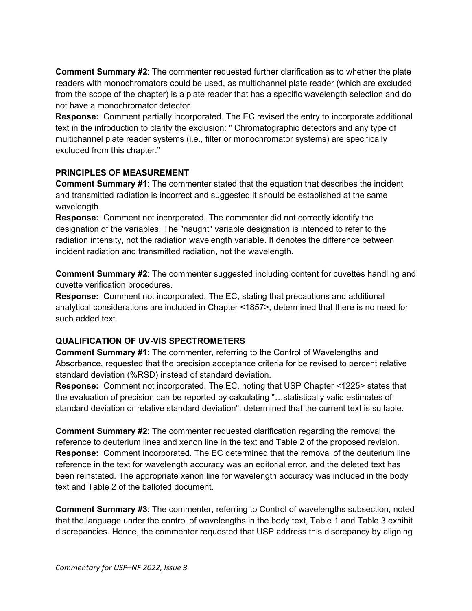**Comment Summary #2**: The commenter requested further clarification as to whether the plate readers with monochromators could be used, as multichannel plate reader (which are excluded from the scope of the chapter) is a plate reader that has a specific wavelength selection and do not have a monochromator detector.

**Response:** Comment partially incorporated. The EC revised the entry to incorporate additional text in the introduction to clarify the exclusion: " Chromatographic detectors and any type of multichannel plate reader systems (i.e., filter or monochromator systems) are specifically excluded from this chapter."

# **PRINCIPLES OF MEASUREMENT**

**Comment Summary #1**: The commenter stated that the equation that describes the incident and transmitted radiation is incorrect and suggested it should be established at the same wavelength.

**Response:** Comment not incorporated. The commenter did not correctly identify the designation of the variables. The "naught" variable designation is intended to refer to the radiation intensity, not the radiation wavelength variable. It denotes the difference between incident radiation and transmitted radiation, not the wavelength.

**Comment Summary #2**: The commenter suggested including content for cuvettes handling and cuvette verification procedures.

**Response:** Comment not incorporated. The EC, stating that precautions and additional analytical considerations are included in Chapter <1857>, determined that there is no need for such added text.

# **QUALIFICATION OF UV-VIS SPECTROMETERS**

**Comment Summary #1**: The commenter, referring to the Control of Wavelengths and Absorbance, requested that the precision acceptance criteria for be revised to percent relative standard deviation (%RSD) instead of standard deviation.

**Response:** Comment not incorporated. The EC, noting that USP Chapter <1225> states that the evaluation of precision can be reported by calculating "…statistically valid estimates of standard deviation or relative standard deviation", determined that the current text is suitable.

**Comment Summary #2**: The commenter requested clarification regarding the removal the reference to deuterium lines and xenon line in the text and Table 2 of the proposed revision. **Response:** Comment incorporated. The EC determined that the removal of the deuterium line reference in the text for wavelength accuracy was an editorial error, and the deleted text has been reinstated. The appropriate xenon line for wavelength accuracy was included in the body text and Table 2 of the balloted document.

**Comment Summary #3**: The commenter, referring to Control of wavelengths subsection, noted that the language under the control of wavelengths in the body text, Table 1 and Table 3 exhibit discrepancies. Hence, the commenter requested that USP address this discrepancy by aligning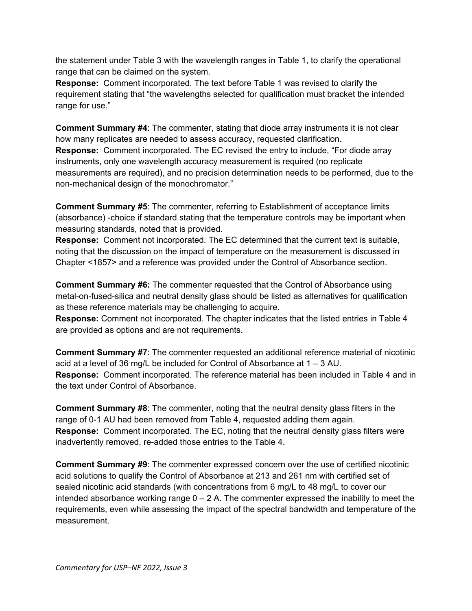the statement under Table 3 with the wavelength ranges in Table 1, to clarify the operational range that can be claimed on the system.

**Response:** Comment incorporated. The text before Table 1 was revised to clarify the requirement stating that "the wavelengths selected for qualification must bracket the intended range for use."

**Comment Summary #4**: The commenter, stating that diode array instruments it is not clear how many replicates are needed to assess accuracy, requested clarification. **Response:** Comment incorporated. The EC revised the entry to include, "For diode array instruments, only one wavelength accuracy measurement is required (no replicate measurements are required), and no precision determination needs to be performed, due to the non-mechanical design of the monochromator."

**Comment Summary #5**: The commenter, referring to Establishment of acceptance limits (absorbance) -choice if standard stating that the temperature controls may be important when measuring standards, noted that is provided.

**Response:** Comment not incorporated. The EC determined that the current text is suitable, noting that the discussion on the impact of temperature on the measurement is discussed in Chapter <1857> and a reference was provided under the Control of Absorbance section.

**Comment Summary #6:** The commenter requested that the Control of Absorbance using metal-on-fused-silica and neutral density glass should be listed as alternatives for qualification as these reference materials may be challenging to acquire.

**Response:** Comment not incorporated. The chapter indicates that the listed entries in Table 4 are provided as options and are not requirements.

**Comment Summary #7**: The commenter requested an additional reference material of nicotinic acid at a level of 36 mg/L be included for Control of Absorbance at 1 – 3 AU. **Response:** Comment incorporated. The reference material has been included in Table 4 and in the text under Control of Absorbance.

**Comment Summary #8**: The commenter, noting that the neutral density glass filters in the range of 0-1 AU had been removed from Table 4, requested adding them again. **Response:** Comment incorporated. The EC, noting that the neutral density glass filters were inadvertently removed, re-added those entries to the Table 4.

**Comment Summary #9**: The commenter expressed concern over the use of certified nicotinic acid solutions to qualify the Control of Absorbance at 213 and 261 nm with certified set of sealed nicotinic acid standards (with concentrations from 6 mg/L to 48 mg/L to cover our intended absorbance working range  $0 - 2$  A. The commenter expressed the inability to meet the requirements, even while assessing the impact of the spectral bandwidth and temperature of the measurement.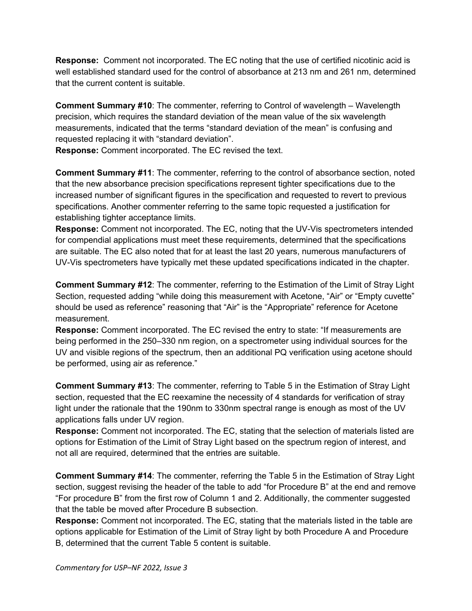**Response:** Comment not incorporated. The EC noting that the use of certified nicotinic acid is well established standard used for the control of absorbance at 213 nm and 261 nm, determined that the current content is suitable.

**Comment Summary #10**: The commenter, referring to Control of wavelength – Wavelength precision, which requires the standard deviation of the mean value of the six wavelength measurements, indicated that the terms "standard deviation of the mean" is confusing and requested replacing it with "standard deviation".

**Response:** Comment incorporated. The EC revised the text.

**Comment Summary #11**: The commenter, referring to the control of absorbance section, noted that the new absorbance precision specifications represent tighter specifications due to the increased number of significant figures in the specification and requested to revert to previous specifications. Another commenter referring to the same topic requested a justification for establishing tighter acceptance limits.

**Response:** Comment not incorporated. The EC, noting that the UV-Vis spectrometers intended for compendial applications must meet these requirements, determined that the specifications are suitable. The EC also noted that for at least the last 20 years, numerous manufacturers of UV-Vis spectrometers have typically met these updated specifications indicated in the chapter.

**Comment Summary #12**: The commenter, referring to the Estimation of the Limit of Stray Light Section, requested adding "while doing this measurement with Acetone, "Air" or "Empty cuvette" should be used as reference" reasoning that "Air" is the "Appropriate" reference for Acetone measurement.

**Response:** Comment incorporated. The EC revised the entry to state: "If measurements are being performed in the 250–330 nm region, on a spectrometer using individual sources for the UV and visible regions of the spectrum, then an additional PQ verification using acetone should be performed, using air as reference."

**Comment Summary #13**: The commenter, referring to Table 5 in the Estimation of Stray Light section, requested that the EC reexamine the necessity of 4 standards for verification of stray light under the rationale that the 190nm to 330nm spectral range is enough as most of the UV applications falls under UV region.

**Response:** Comment not incorporated. The EC, stating that the selection of materials listed are options for Estimation of the Limit of Stray Light based on the spectrum region of interest, and not all are required, determined that the entries are suitable.

**Comment Summary #14**: The commenter, referring the Table 5 in the Estimation of Stray Light section, suggest revising the header of the table to add "for Procedure B" at the end and remove "For procedure B" from the first row of Column 1 and 2. Additionally, the commenter suggested that the table be moved after Procedure B subsection.

**Response:** Comment not incorporated. The EC, stating that the materials listed in the table are options applicable for Estimation of the Limit of Stray light by both Procedure A and Procedure B, determined that the current Table 5 content is suitable.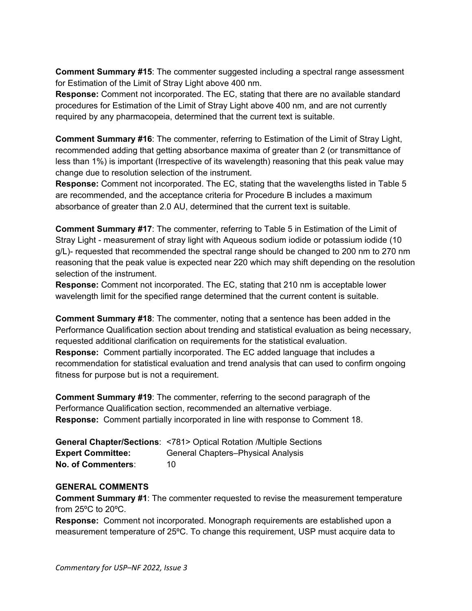**Comment Summary #15**: The commenter suggested including a spectral range assessment for Estimation of the Limit of Stray Light above 400 nm.

**Response:** Comment not incorporated. The EC, stating that there are no available standard procedures for Estimation of the Limit of Stray Light above 400 nm, and are not currently required by any pharmacopeia, determined that the current text is suitable.

**Comment Summary #16**: The commenter, referring to Estimation of the Limit of Stray Light, recommended adding that getting absorbance maxima of greater than 2 (or transmittance of less than 1%) is important (Irrespective of its wavelength) reasoning that this peak value may change due to resolution selection of the instrument.

**Response:** Comment not incorporated. The EC, stating that the wavelengths listed in Table 5 are recommended, and the acceptance criteria for Procedure B includes a maximum absorbance of greater than 2.0 AU, determined that the current text is suitable.

**Comment Summary #17**: The commenter, referring to Table 5 in Estimation of the Limit of Stray Light - measurement of stray light with Aqueous sodium iodide or potassium iodide (10 g/L)- requested that recommended the spectral range should be changed to 200 nm to 270 nm reasoning that the peak value is expected near 220 which may shift depending on the resolution selection of the instrument.

**Response:** Comment not incorporated. The EC, stating that 210 nm is acceptable lower wavelength limit for the specified range determined that the current content is suitable.

**Comment Summary #18**: The commenter, noting that a sentence has been added in the Performance Qualification section about trending and statistical evaluation as being necessary, requested additional clarification on requirements for the statistical evaluation. **Response:** Comment partially incorporated. The EC added language that includes a recommendation for statistical evaluation and trend analysis that can used to confirm ongoing fitness for purpose but is not a requirement.

**Comment Summary #19**: The commenter, referring to the second paragraph of the Performance Qualification section, recommended an alternative verbiage. **Response:** Comment partially incorporated in line with response to Comment 18.

|                          | <b>General Chapter/Sections: &lt;781&gt; Optical Rotation /Multiple Sections</b> |
|--------------------------|----------------------------------------------------------------------------------|
| <b>Expert Committee:</b> | <b>General Chapters-Physical Analysis</b>                                        |
| No. of Commenters:       | 10.                                                                              |

### **GENERAL COMMENTS**

**Comment Summary #1**: The commenter requested to revise the measurement temperature from 25ºC to 20ºC.

**Response:** Comment not incorporated. Monograph requirements are established upon a measurement temperature of 25ºC. To change this requirement, USP must acquire data to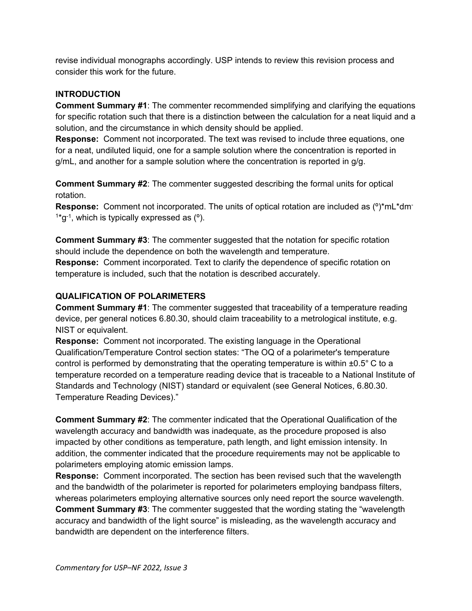revise individual monographs accordingly. USP intends to review this revision process and consider this work for the future.

# **INTRODUCTION**

**Comment Summary #1**: The commenter recommended simplifying and clarifying the equations for specific rotation such that there is a distinction between the calculation for a neat liquid and a solution, and the circumstance in which density should be applied.

**Response:** Comment not incorporated. The text was revised to include three equations, one for a neat, undiluted liquid, one for a sample solution where the concentration is reported in g/mL, and another for a sample solution where the concentration is reported in g/g.

**Comment Summary #2**: The commenter suggested describing the formal units for optical rotation.

**Response:** Comment not incorporated. The units of optical rotation are included as (º)\*mL\*dm- $1*q^{-1}$ , which is typically expressed as  $(°)$ .

**Comment Summary #3**: The commenter suggested that the notation for specific rotation should include the dependence on both the wavelength and temperature.

**Response:** Comment incorporated. Text to clarify the dependence of specific rotation on temperature is included, such that the notation is described accurately.

# **QUALIFICATION OF POLARIMETERS**

**Comment Summary #1**: The commenter suggested that traceability of a temperature reading device, per general notices 6.80.30, should claim traceability to a metrological institute, e.g. NIST or equivalent.

**Response:** Comment not incorporated. The existing language in the Operational Qualification/Temperature Control section states: "The OQ of a polarimeter's temperature control is performed by demonstrating that the operating temperature is within  $\pm 0.5^{\circ}$  C to a temperature recorded on a temperature reading device that is traceable to a National Institute of Standards and Technology (NIST) standard or equivalent (see General Notices, 6.80.30. Temperature Reading Devices)."

**Comment Summary #2**: The commenter indicated that the Operational Qualification of the wavelength accuracy and bandwidth was inadequate, as the procedure proposed is also impacted by other conditions as temperature, path length, and light emission intensity. In addition, the commenter indicated that the procedure requirements may not be applicable to polarimeters employing atomic emission lamps.

**Response:** Comment incorporated. The section has been revised such that the wavelength and the bandwidth of the polarimeter is reported for polarimeters employing bandpass filters, whereas polarimeters employing alternative sources only need report the source wavelength. **Comment Summary #3**: The commenter suggested that the wording stating the "wavelength accuracy and bandwidth of the light source" is misleading, as the wavelength accuracy and bandwidth are dependent on the interference filters.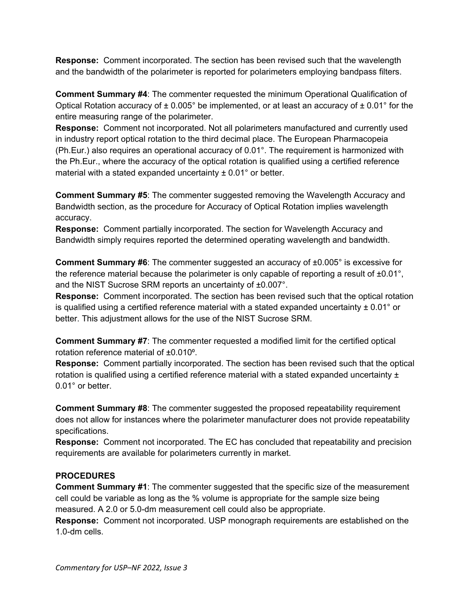**Response:** Comment incorporated. The section has been revised such that the wavelength and the bandwidth of the polarimeter is reported for polarimeters employing bandpass filters.

**Comment Summary #4**: The commenter requested the minimum Operational Qualification of Optical Rotation accuracy of  $\pm 0.005^{\circ}$  be implemented, or at least an accuracy of  $\pm 0.01^{\circ}$  for the entire measuring range of the polarimeter.

**Response:** Comment not incorporated. Not all polarimeters manufactured and currently used in industry report optical rotation to the third decimal place. The European Pharmacopeia (Ph.Eur.) also requires an operational accuracy of 0.01°. The requirement is harmonized with the Ph.Eur., where the accuracy of the optical rotation is qualified using a certified reference material with a stated expanded uncertainty  $\pm$  0.01 $\degree$  or better.

**Comment Summary #5:** The commenter suggested removing the Wavelength Accuracy and Bandwidth section, as the procedure for Accuracy of Optical Rotation implies wavelength accuracy.

**Response:** Comment partially incorporated. The section for Wavelength Accuracy and Bandwidth simply requires reported the determined operating wavelength and bandwidth.

**Comment Summary #6**: The commenter suggested an accuracy of ±0.005° is excessive for the reference material because the polarimeter is only capable of reporting a result of ±0.01°, and the NIST Sucrose SRM reports an uncertainty of ±0.007°.

**Response:** Comment incorporated. The section has been revised such that the optical rotation is qualified using a certified reference material with a stated expanded uncertainty  $\pm 0.01^{\circ}$  or better. This adjustment allows for the use of the NIST Sucrose SRM.

**Comment Summary #7**: The commenter requested a modified limit for the certified optical rotation reference material of ±0.010°.

**Response:** Comment partially incorporated. The section has been revised such that the optical rotation is qualified using a certified reference material with a stated expanded uncertainty  $\pm$ 0.01° or better.

**Comment Summary #8**: The commenter suggested the proposed repeatability requirement does not allow for instances where the polarimeter manufacturer does not provide repeatability specifications.

**Response:** Comment not incorporated. The EC has concluded that repeatability and precision requirements are available for polarimeters currently in market.

# **PROCEDURES**

**Comment Summary #1**: The commenter suggested that the specific size of the measurement cell could be variable as long as the % volume is appropriate for the sample size being measured. A 2.0 or 5.0-dm measurement cell could also be appropriate.

**Response:** Comment not incorporated. USP monograph requirements are established on the 1.0-dm cells.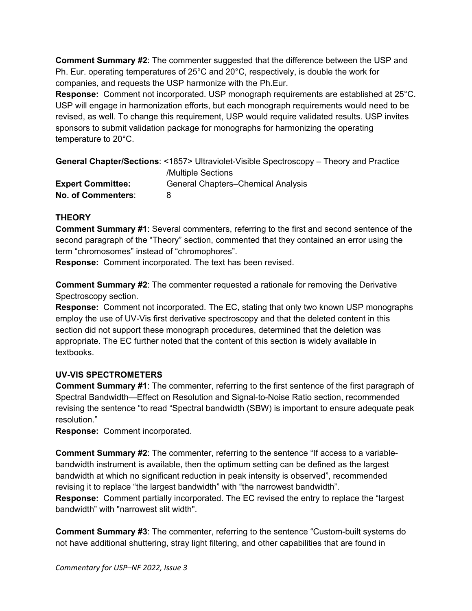**Comment Summary #2**: The commenter suggested that the difference between the USP and Ph. Eur. operating temperatures of 25°C and 20°C, respectively, is double the work for companies, and requests the USP harmonize with the Ph.Eur.

**Response:** Comment not incorporated. USP monograph requirements are established at 25°C. USP will engage in harmonization efforts, but each monograph requirements would need to be revised, as well. To change this requirement, USP would require validated results. USP invites sponsors to submit validation package for monographs for harmonizing the operating temperature to 20°C.

<span id="page-19-0"></span>

|                           | <b>General Chapter/Sections: &lt;1857&gt; Ultraviolet-Visible Spectroscopy – Theory and Practice</b> |
|---------------------------|------------------------------------------------------------------------------------------------------|
|                           | /Multiple Sections                                                                                   |
| <b>Expert Committee:</b>  | <b>General Chapters–Chemical Analysis</b>                                                            |
| <b>No. of Commenters:</b> | 8                                                                                                    |

# **THEORY**

**Comment Summary #1**: Several commenters, referring to the first and second sentence of the second paragraph of the "Theory" section, commented that they contained an error using the term "chromosomes" instead of "chromophores".

**Response:** Comment incorporated. The text has been revised.

**Comment Summary #2**: The commenter requested a rationale for removing the Derivative Spectroscopy section.

**Response:** Comment not incorporated. The EC, stating that only two known USP monographs employ the use of UV-Vis first derivative spectroscopy and that the deleted content in this section did not support these monograph procedures, determined that the deletion was appropriate. The EC further noted that the content of this section is widely available in textbooks.

### **UV-VIS SPECTROMETERS**

**Comment Summary #1**: The commenter, referring to the first sentence of the first paragraph of Spectral Bandwidth—Effect on Resolution and Signal-to-Noise Ratio section, recommended revising the sentence "to read "Spectral bandwidth (SBW) is important to ensure adequate peak resolution."

**Response:** Comment incorporated.

**Comment Summary #2**: The commenter, referring to the sentence "If access to a variablebandwidth instrument is available, then the optimum setting can be defined as the largest bandwidth at which no significant reduction in peak intensity is observed", recommended revising it to replace "the largest bandwidth" with "the narrowest bandwidth".

**Response:** Comment partially incorporated. The EC revised the entry to replace the "largest bandwidth" with "narrowest slit width".

**Comment Summary #3**: The commenter, referring to the sentence "Custom-built systems do not have additional shuttering, stray light filtering, and other capabilities that are found in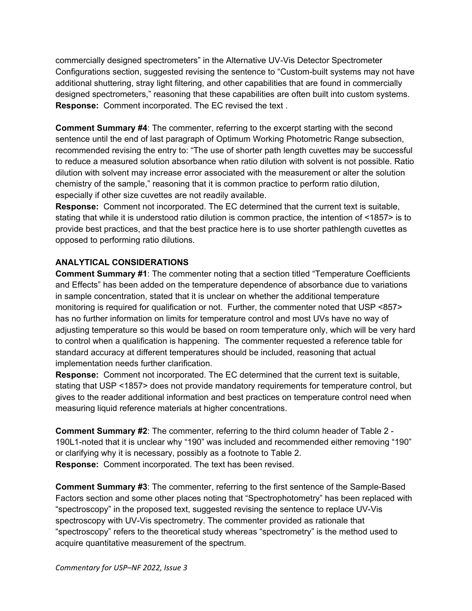commercially designed spectrometers" in the Alternative UV-Vis Detector Spectrometer Configurations section, suggested revising the sentence to "Custom-built systems may not have additional shuttering, stray light filtering, and other capabilities that are found in commercially designed spectrometers," reasoning that these capabilities are often built into custom systems. **Response:** Comment incorporated. The EC revised the text .

**Comment Summary #4**: The commenter, referring to the excerpt starting with the second sentence until the end of last paragraph of Optimum Working Photometric Range subsection, recommended revising the entry to: "The use of shorter path length cuvettes may be successful to reduce a measured solution absorbance when ratio dilution with solvent is not possible. Ratio dilution with solvent may increase error associated with the measurement or alter the solution chemistry of the sample," reasoning that it is common practice to perform ratio dilution, especially if other size cuvettes are not readily available.

**Response:** Comment not incorporated. The EC determined that the current text is suitable, stating that while it is understood ratio dilution is common practice, the intention of <1857> is to provide best practices, and that the best practice here is to use shorter pathlength cuvettes as opposed to performing ratio dilutions.

# **ANALYTICAL CONSIDERATIONS**

**Comment Summary #1**: The commenter noting that a section titled "Temperature Coefficients and Effects" has been added on the temperature dependence of absorbance due to variations in sample concentration, stated that it is unclear on whether the additional temperature monitoring is required for qualification or not. Further, the commenter noted that USP <857> has no further information on limits for temperature control and most UVs have no way of adjusting temperature so this would be based on room temperature only, which will be very hard to control when a qualification is happening. The commenter requested a reference table for standard accuracy at different temperatures should be included, reasoning that actual implementation needs further clarification.

**Response:** Comment not incorporated. The EC determined that the current text is suitable, stating that USP <1857> does not provide mandatory requirements for temperature control, but gives to the reader additional information and best practices on temperature control need when measuring liquid reference materials at higher concentrations.

**Comment Summary #2**: The commenter, referring to the third column header of Table 2 - 190L1-noted that it is unclear why "190" was included and recommended either removing "190" or clarifying why it is necessary, possibly as a footnote to Table 2. **Response:** Comment incorporated. The text has been revised.

**Comment Summary #3**: The commenter, referring to the first sentence of the Sample-Based Factors section and some other places noting that "Spectrophotometry" has been replaced with "spectroscopy" in the proposed text, suggested revising the sentence to replace UV-Vis spectroscopy with UV-Vis spectrometry. The commenter provided as rationale that "spectroscopy" refers to the theoretical study whereas "spectrometry" is the method used to acquire quantitative measurement of the spectrum.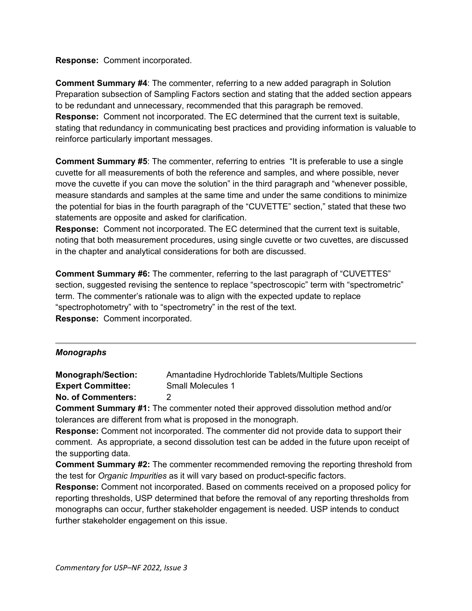#### **Response:** Comment incorporated.

**Comment Summary #4**: The commenter, referring to a new added paragraph in Solution Preparation subsection of Sampling Factors section and stating that the added section appears to be redundant and unnecessary, recommended that this paragraph be removed. **Response:** Comment not incorporated. The EC determined that the current text is suitable, stating that redundancy in communicating best practices and providing information is valuable to reinforce particularly important messages.

**Comment Summary #5**: The commenter, referring to entries "It is preferable to use a single cuvette for all measurements of both the reference and samples, and where possible, never move the cuvette if you can move the solution" in the third paragraph and "whenever possible, measure standards and samples at the same time and under the same conditions to minimize the potential for bias in the fourth paragraph of the "CUVETTE" section," stated that these two statements are opposite and asked for clarification.

**Response:** Comment not incorporated. The EC determined that the current text is suitable, noting that both measurement procedures, using single cuvette or two cuvettes, are discussed in the chapter and analytical considerations for both are discussed.

**Comment Summary #6:** The commenter, referring to the last paragraph of "CUVETTES" section, suggested revising the sentence to replace "spectroscopic" term with "spectrometric" term. The commenter's rationale was to align with the expected update to replace "spectrophotometry" with to "spectrometry" in the rest of the text. **Response:** Comment incorporated.

#### *Monographs*

<span id="page-21-0"></span>**Monograph/Section:** Amantadine Hydrochloride Tablets/Multiple Sections **Expert Committee:** Small Molecules 1

**No. of Commenters:** 2

**Comment Summary #1:** The commenter noted their approved dissolution method and/or tolerances are different from what is proposed in the monograph.

**Response:** Comment not incorporated. The commenter did not provide data to support their comment. As appropriate, a second dissolution test can be added in the future upon receipt of the supporting data.

**Comment Summary #2:** The commenter recommended removing the reporting threshold from the test for *Organic Impurities* as it will vary based on product-specific factors.

**Response:** Comment not incorporated. Based on comments received on a proposed policy for reporting thresholds, USP determined that before the removal of any reporting thresholds from monographs can occur, further stakeholder engagement is needed. USP intends to conduct further stakeholder engagement on this issue.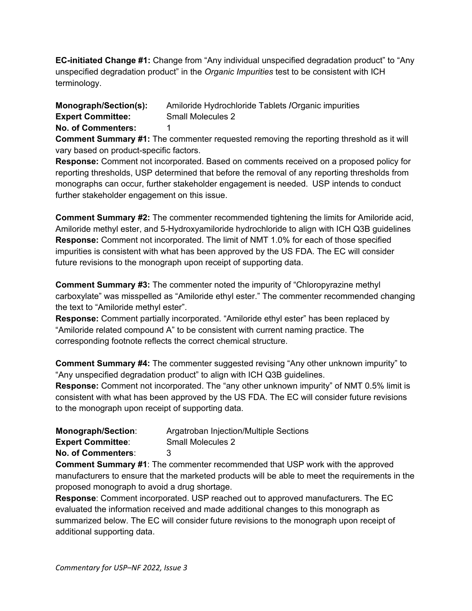**EC-initiated Change #1:** Change from "Any individual unspecified degradation product" to "Any unspecified degradation product" in the *Organic Impurities* test to be consistent with ICH terminology.

**Monograph/Section(s):** Amiloride Hydrochloride Tablets **/**Organic impurities **Expert Committee:** Small Molecules 2 **No. of Commenters:** 1

**Comment Summary #1:** The commenter requested removing the reporting threshold as it will vary based on product-specific factors.

**Response:** Comment not incorporated. Based on comments received on a proposed policy for reporting thresholds, USP determined that before the removal of any reporting thresholds from monographs can occur, further stakeholder engagement is needed. USP intends to conduct further stakeholder engagement on this issue.

**Comment Summary #2:** The commenter recommended tightening the limits for Amiloride acid, Amiloride methyl ester, and 5-Hydroxyamiloride hydrochloride to align with ICH Q3B guidelines **Response:** Comment not incorporated. The limit of NMT 1.0% for each of those specified impurities is consistent with what has been approved by the US FDA. The EC will consider future revisions to the monograph upon receipt of supporting data.

**Comment Summary #3:** The commenter noted the impurity of "Chloropyrazine methyl carboxylate" was misspelled as "Amiloride ethyl ester." The commenter recommended changing the text to "Amiloride methyl ester".

**Response:** Comment partially incorporated. "Amiloride ethyl ester" has been replaced by "Amiloride related compound A" to be consistent with current naming practice. The corresponding footnote reflects the correct chemical structure.

**Comment Summary #4:** The commenter suggested revising "Any other unknown impurity" to "Any unspecified degradation product" to align with ICH Q3B guidelines.

**Response:** Comment not incorporated. The "any other unknown impurity" of NMT 0.5% limit is consistent with what has been approved by the US FDA. The EC will consider future revisions to the monograph upon receipt of supporting data.

<span id="page-22-0"></span>

| <b>Monograph/Section:</b> | Argatroban Injection/Multiple Sections |
|---------------------------|----------------------------------------|
| <b>Expert Committee:</b>  | Small Molecules 2                      |
| No. of Commenters:        |                                        |

**Comment Summary #1**: The commenter recommended that USP work with the approved manufacturers to ensure that the marketed products will be able to meet the requirements in the proposed monograph to avoid a drug shortage.

**Response**: Comment incorporated. USP reached out to approved manufacturers. The EC evaluated the information received and made additional changes to this monograph as summarized below. The EC will consider future revisions to the monograph upon receipt of additional supporting data.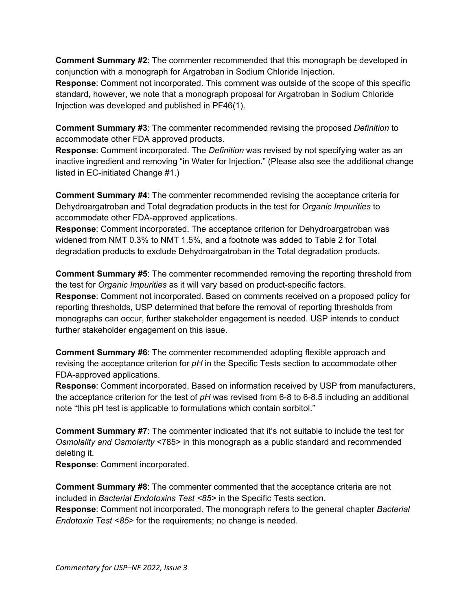**Comment Summary #2**: The commenter recommended that this monograph be developed in conjunction with a monograph for Argatroban in Sodium Chloride Injection.

**Response**: Comment not incorporated. This comment was outside of the scope of this specific standard, however, we note that a monograph proposal for Argatroban in Sodium Chloride Injection was developed and published in PF46(1).

**Comment Summary #3**: The commenter recommended revising the proposed *Definition* to accommodate other FDA approved products.

**Response**: Comment incorporated. The *Definition* was revised by not specifying water as an inactive ingredient and removing "in Water for Injection." (Please also see the additional change listed in EC-initiated Change #1.)

**Comment Summary #4**: The commenter recommended revising the acceptance criteria for Dehydroargatroban and Total degradation products in the test for *Organic Impurities* to accommodate other FDA-approved applications.

**Response**: Comment incorporated. The acceptance criterion for Dehydroargatroban was widened from NMT 0.3% to NMT 1.5%, and a footnote was added to Table 2 for Total degradation products to exclude Dehydroargatroban in the Total degradation products.

**Comment Summary #5**: The commenter recommended removing the reporting threshold from the test for *Organic Impurities* as it will vary based on product-specific factors. **Response**: Comment not incorporated. Based on comments received on a proposed policy for reporting thresholds, USP determined that before the removal of reporting thresholds from monographs can occur, further stakeholder engagement is needed. USP intends to conduct further stakeholder engagement on this issue.

**Comment Summary #6**: The commenter recommended adopting flexible approach and revising the acceptance criterion for *pH* in the Specific Tests section to accommodate other FDA-approved applications.

**Response**: Comment incorporated. Based on information received by USP from manufacturers, the acceptance criterion for the test of *pH* was revised from 6-8 to 6-8.5 including an additional note "this pH test is applicable to formulations which contain sorbitol."

**Comment Summary #7**: The commenter indicated that it's not suitable to include the test for *Osmolality and Osmolarity* <785> in this monograph as a public standard and recommended deleting it.

**Response**: Comment incorporated.

**Comment Summary #8**: The commenter commented that the acceptance criteria are not included in *Bacterial Endotoxins Test <85>* in the Specific Tests section.

**Response**: Comment not incorporated. The monograph refers to the general chapter *Bacterial Endotoxin Test <85>* for the requirements; no change is needed.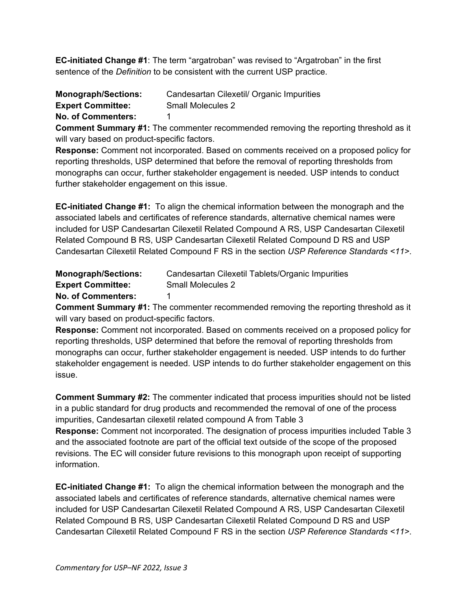**EC-initiated Change #1**: The term "argatroban" was revised to "Argatroban" in the first sentence of the *Definition* to be consistent with the current USP practice.

<span id="page-24-0"></span>

| <b>Monograph/Sections:</b> | Candesartan Cilexetil/ Organic Impurities |
|----------------------------|-------------------------------------------|
| <b>Expert Committee:</b>   | <b>Small Molecules 2</b>                  |
| <b>No. of Commenters:</b>  |                                           |

**Comment Summary #1:** The commenter recommended removing the reporting threshold as it will vary based on product-specific factors.

**Response:** Comment not incorporated. Based on comments received on a proposed policy for reporting thresholds, USP determined that before the removal of reporting thresholds from monographs can occur, further stakeholder engagement is needed. USP intends to conduct further stakeholder engagement on this issue.

**EC-initiated Change #1:** To align the chemical information between the monograph and the associated labels and certificates of reference standards, alternative chemical names were included for USP Candesartan Cilexetil Related Compound A RS, USP Candesartan Cilexetil Related Compound B RS, USP Candesartan Cilexetil Related Compound D RS and USP Candesartan Cilexetil Related Compound F RS in the section *USP Reference Standards <11>*.

<span id="page-24-1"></span>

| <b>Monograph/Sections:</b> | Candesartan Cilexetil Tablets/Organic Impurities |
|----------------------------|--------------------------------------------------|
| <b>Expert Committee:</b>   | Small Molecules 2                                |
| <b>No. of Commenters:</b>  |                                                  |

**Comment Summary #1:** The commenter recommended removing the reporting threshold as it will vary based on product-specific factors.

**Response:** Comment not incorporated. Based on comments received on a proposed policy for reporting thresholds, USP determined that before the removal of reporting thresholds from monographs can occur, further stakeholder engagement is needed. USP intends to do further stakeholder engagement is needed. USP intends to do further stakeholder engagement on this issue.

**Comment Summary #2:** The commenter indicated that process impurities should not be listed in a public standard for drug products and recommended the removal of one of the process impurities, Candesartan cilexetil related compound A from Table 3

**Response:** Comment not incorporated. The designation of process impurities included Table 3 and the associated footnote are part of the official text outside of the scope of the proposed revisions. The EC will consider future revisions to this monograph upon receipt of supporting information.

**EC-initiated Change #1:** To align the chemical information between the monograph and the associated labels and certificates of reference standards, alternative chemical names were included for USP Candesartan Cilexetil Related Compound A RS, USP Candesartan Cilexetil Related Compound B RS, USP Candesartan Cilexetil Related Compound D RS and USP Candesartan Cilexetil Related Compound F RS in the section *USP Reference Standards <11>*.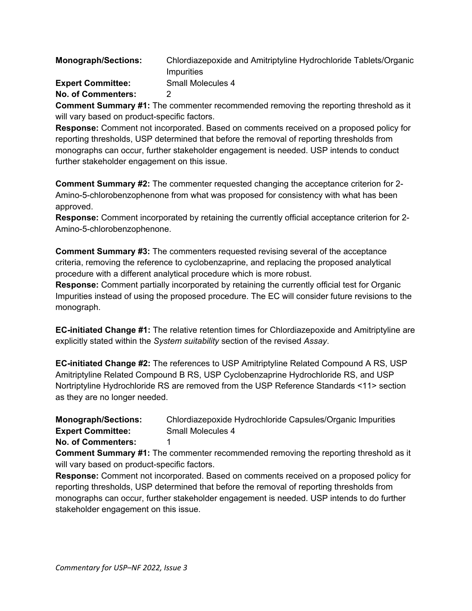<span id="page-25-0"></span>

| <b>Monograph/Sections:</b> | Chlordiazepoxide and Amitriptyline Hydrochloride Tablets/Organic |
|----------------------------|------------------------------------------------------------------|
|                            | Impurities                                                       |
| <b>Expert Committee:</b>   | Small Molecules 4                                                |
| <b>No. of Commenters:</b>  |                                                                  |

**Comment Summary #1:** The commenter recommended removing the reporting threshold as it will vary based on product-specific factors.

**Response:** Comment not incorporated. Based on comments received on a proposed policy for reporting thresholds, USP determined that before the removal of reporting thresholds from monographs can occur, further stakeholder engagement is needed. USP intends to conduct further stakeholder engagement on this issue.

**Comment Summary #2:** The commenter requested changing the acceptance criterion for 2- Amino-5-chlorobenzophenone from what was proposed for consistency with what has been approved.

**Response:** Comment incorporated by retaining the currently official acceptance criterion for 2- Amino-5-chlorobenzophenone.

**Comment Summary #3:** The commenters requested revising several of the acceptance criteria, removing the reference to cyclobenzaprine, and replacing the proposed analytical procedure with a different analytical procedure which is more robust.

**Response:** Comment partially incorporated by retaining the currently official test for Organic Impurities instead of using the proposed procedure. The EC will consider future revisions to the monograph.

**EC-initiated Change #1:** The relative retention times for Chlordiazepoxide and Amitriptyline are explicitly stated within the *System suitability* section of the revised *Assay*.

**EC-initiated Change #2:** The references to USP Amitriptyline Related Compound A RS, USP Amitriptyline Related Compound B RS, USP Cyclobenzaprine Hydrochloride RS, and USP Nortriptyline Hydrochloride RS are removed from the USP Reference Standards <11> section as they are no longer needed.

<span id="page-25-1"></span>**Monograph/Sections:** Chlordiazepoxide Hydrochloride Capsules/Organic Impurities **Expert Committee:** Small Molecules 4

**No. of Commenters:** 1

**Comment Summary #1:** The commenter recommended removing the reporting threshold as it will vary based on product-specific factors.

**Response:** Comment not incorporated. Based on comments received on a proposed policy for reporting thresholds, USP determined that before the removal of reporting thresholds from monographs can occur, further stakeholder engagement is needed. USP intends to do further stakeholder engagement on this issue.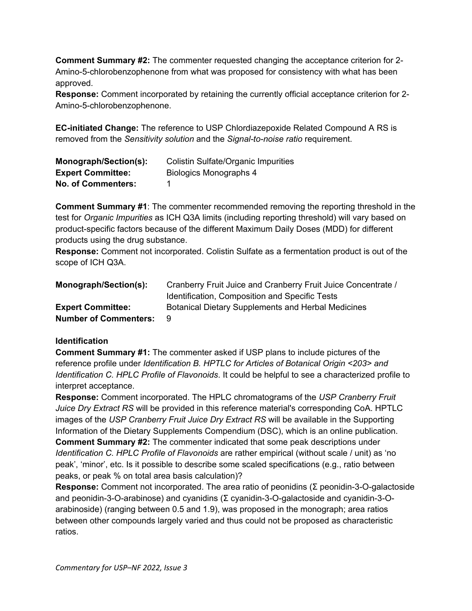**Comment Summary #2:** The commenter requested changing the acceptance criterion for 2- Amino-5-chlorobenzophenone from what was proposed for consistency with what has been approved.

**Response:** Comment incorporated by retaining the currently official acceptance criterion for 2- Amino-5-chlorobenzophenone.

**EC-initiated Change:** The reference to USP Chlordiazepoxide Related Compound A RS is removed from the *Sensitivity solution* and the *Signal-to-noise ratio* requirement.

<span id="page-26-0"></span>

| Monograph/Section(s):     | <b>Colistin Sulfate/Organic Impurities</b> |
|---------------------------|--------------------------------------------|
| <b>Expert Committee:</b>  | Biologics Monographs 4                     |
| <b>No. of Commenters:</b> |                                            |

**Comment Summary #1**: The commenter recommended removing the reporting threshold in the test for *Organic Impurities* as ICH Q3A limits (including reporting threshold) will vary based on product-specific factors because of the different Maximum Daily Doses (MDD) for different products using the drug substance.

**Response:** Comment not incorporated. Colistin Sulfate as a fermentation product is out of the scope of ICH Q3A.

<span id="page-26-1"></span>

| Monograph/Section(s):        | Cranberry Fruit Juice and Cranberry Fruit Juice Concentrate / |
|------------------------------|---------------------------------------------------------------|
|                              | Identification, Composition and Specific Tests                |
| <b>Expert Committee:</b>     | <b>Botanical Dietary Supplements and Herbal Medicines</b>     |
| <b>Number of Commenters:</b> | - 9                                                           |

### **Identification**

**Comment Summary #1:** The commenter asked if USP plans to include pictures of the reference profile under *Identification B. HPTLC for Articles of Botanical Origin <203> and Identification C. HPLC Profile of Flavonoids*. It could be helpful to see a characterized profile to interpret acceptance.

**Response:** Comment incorporated. The HPLC chromatograms of the *USP Cranberry Fruit Juice Dry Extract RS* will be provided in this reference material's corresponding CoA. HPTLC images of the *USP Cranberry Fruit Juice Dry Extract RS* will be available in the Supporting Information of the Dietary Supplements Compendium (DSC), which is an online publication. **Comment Summary #2:** The commenter indicated that some peak descriptions under *Identification C. HPLC Profile of Flavonoids* are rather empirical (without scale / unit) as 'no peak', 'minor', etc. Is it possible to describe some scaled specifications (e.g., ratio between peaks, or peak % on total area basis calculation)?

**Response:** Comment not incorporated. The area ratio of peonidins (Σ peonidin-3-O-galactoside and peonidin-3-O-arabinose) and cyanidins (Σ cyanidin-3-O-galactoside and cyanidin-3-Oarabinoside) (ranging between 0.5 and 1.9), was proposed in the monograph; area ratios between other compounds largely varied and thus could not be proposed as characteristic ratios.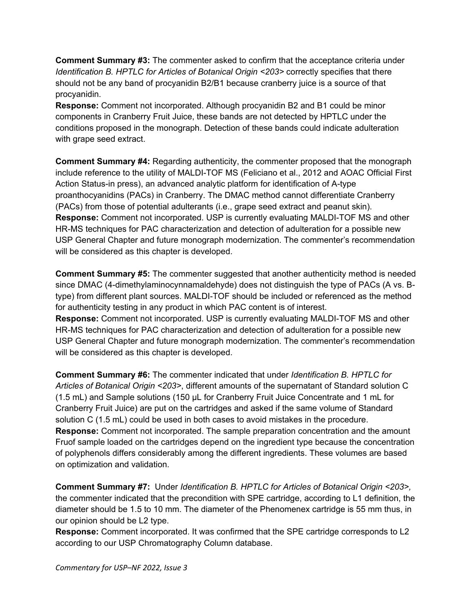**Comment Summary #3:** The commenter asked to confirm that the acceptance criteria under *Identification B. HPTLC for Articles of Botanical Origin <203>* correctly specifies that there should not be any band of procyanidin B2/B1 because cranberry juice is a source of that procyanidin.

**Response:** Comment not incorporated. Although procyanidin B2 and B1 could be minor components in Cranberry Fruit Juice, these bands are not detected by HPTLC under the conditions proposed in the monograph. Detection of these bands could indicate adulteration with grape seed extract.

**Comment Summary #4:** Regarding authenticity, the commenter proposed that the monograph include reference to the utility of MALDI-TOF MS (Feliciano et al., 2012 and AOAC Official First Action Status-in press), an advanced analytic platform for identification of A-type proanthocyanidins (PACs) in Cranberry. The DMAC method cannot differentiate Cranberry (PACs) from those of potential adulterants (i.e., grape seed extract and peanut skin). **Response:** Comment not incorporated. USP is currently evaluating MALDI-TOF MS and other HR-MS techniques for PAC characterization and detection of adulteration for a possible new USP General Chapter and future monograph modernization. The commenter's recommendation will be considered as this chapter is developed.

**Comment Summary #5:** The commenter suggested that another authenticity method is needed since DMAC (4-dimethylaminocynnamaldehyde) does not distinguish the type of PACs (A vs. Btype) from different plant sources. MALDI-TOF should be included or referenced as the method for authenticity testing in any product in which PAC content is of interest. **Response:** Comment not incorporated. USP is currently evaluating MALDI-TOF MS and other HR-MS techniques for PAC characterization and detection of adulteration for a possible new USP General Chapter and future monograph modernization. The commenter's recommendation will be considered as this chapter is developed.

**Comment Summary #6:** The commenter indicated that under *Identification B. HPTLC for Articles of Botanical Origin <203>*, different amounts of the supernatant of Standard solution C (1.5 mL) and Sample solutions (150 μL for Cranberry Fruit Juice Concentrate and 1 mL for Cranberry Fruit Juice) are put on the cartridges and asked if the same volume of Standard solution C (1.5 mL) could be used in both cases to avoid mistakes in the procedure. **Response:** Comment not incorporated. The sample preparation concentration and the amount Fruof sample loaded on the cartridges depend on the ingredient type because the concentration of polyphenols differs considerably among the different ingredients. These volumes are based on optimization and validation.

**Comment Summary #7:** Under *Identification B. HPTLC for Articles of Botanical Origin <203>,* the commenter indicated that the precondition with SPE cartridge, according to L1 definition, the diameter should be 1.5 to 10 mm. The diameter of the Phenomenex cartridge is 55 mm thus, in our opinion should be L2 type.

**Response:** Comment incorporated. It was confirmed that the SPE cartridge corresponds to L2 according to our USP Chromatography Column database.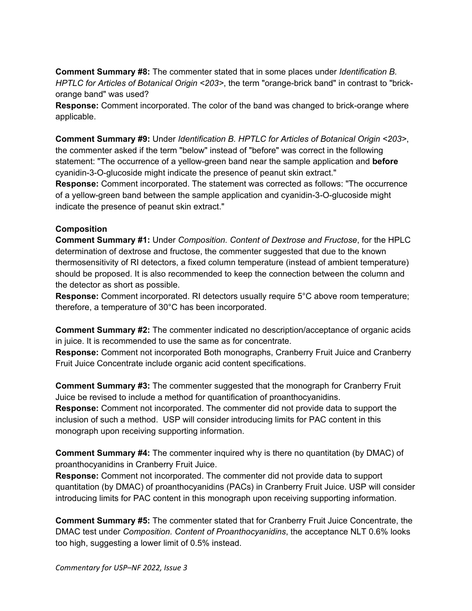**Comment Summary #8:** The commenter stated that in some places under *Identification B. HPTLC for Articles of Botanical Origin <203>*, the term "orange-brick band" in contrast to "brickorange band" was used?

**Response:** Comment incorporated. The color of the band was changed to brick-orange where applicable.

**Comment Summary #9:** Under *Identification B. HPTLC for Articles of Botanical Origin <203>*, the commenter asked if the term "below" instead of "before" was correct in the following statement: "The occurrence of a yellow-green band near the sample application and **before** cyanidin-3-O-glucoside might indicate the presence of peanut skin extract."

**Response:** Comment incorporated. The statement was corrected as follows: "The occurrence of a yellow-green band between the sample application and cyanidin-3-O-glucoside might indicate the presence of peanut skin extract."

### **Composition**

**Comment Summary #1:** Under *Composition. Content of Dextrose and Fructose*, for the HPLC determination of dextrose and fructose, the commenter suggested that due to the known thermosensitivity of RI detectors, a fixed column temperature (instead of ambient temperature) should be proposed. It is also recommended to keep the connection between the column and the detector as short as possible.

**Response:** Comment incorporated. RI detectors usually require 5°C above room temperature; therefore, a temperature of 30°C has been incorporated.

**Comment Summary #2:** The commenter indicated no description/acceptance of organic acids in juice. It is recommended to use the same as for concentrate.

**Response:** Comment not incorporated Both monographs, Cranberry Fruit Juice and Cranberry Fruit Juice Concentrate include organic acid content specifications.

**Comment Summary #3:** The commenter suggested that the monograph for Cranberry Fruit Juice be revised to include a method for quantification of proanthocyanidins. **Response:** Comment not incorporated. The commenter did not provide data to support the inclusion of such a method. USP will consider introducing limits for PAC content in this monograph upon receiving supporting information.

**Comment Summary #4:** The commenter inquired why is there no quantitation (by DMAC) of proanthocyanidins in Cranberry Fruit Juice.

**Response:** Comment not incorporated. The commenter did not provide data to support quantitation (by DMAC) of proanthocyanidins (PACs) in Cranberry Fruit Juice. USP will consider introducing limits for PAC content in this monograph upon receiving supporting information.

**Comment Summary #5:** The commenter stated that for Cranberry Fruit Juice Concentrate, the DMAC test under *Composition. Content of Proanthocyanidins*, the acceptance NLT 0.6% looks too high, suggesting a lower limit of 0.5% instead.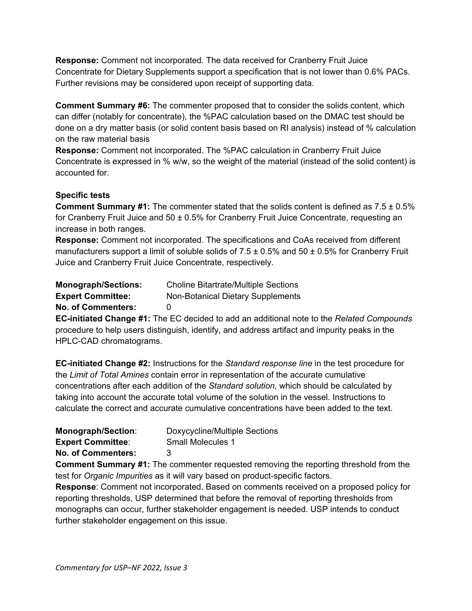**Response:** Comment not incorporated. The data received for Cranberry Fruit Juice Concentrate for Dietary Supplements support a specification that is not lower than 0.6% PACs. Further revisions may be considered upon receipt of supporting data.

**Comment Summary #6:** The commenter proposed that to consider the solids content, which can differ (notably for concentrate), the %PAC calculation based on the DMAC test should be done on a dry matter basis (or solid content basis based on RI analysis) instead of % calculation on the raw material basis

**Response:** Comment not incorporated. The %PAC calculation in Cranberry Fruit Juice Concentrate is expressed in % w/w, so the weight of the material (instead of the solid content) is accounted for.

# **Specific tests**

**Comment Summary #1:** The commenter stated that the solids content is defined as 7.5 ± 0.5% for Cranberry Fruit Juice and  $50 \pm 0.5\%$  for Cranberry Fruit Juice Concentrate, requesting an increase in both ranges.

**Response:** Comment not incorporated. The specifications and CoAs received from different manufacturers support a limit of soluble solids of  $7.5 \pm 0.5\%$  and  $50 \pm 0.5\%$  for Cranberry Fruit Juice and Cranberry Fruit Juice Concentrate, respectively.

<span id="page-29-0"></span>

| <b>Monograph/Sections:</b> | <b>Choline Bitartrate/Multiple Sections</b> |
|----------------------------|---------------------------------------------|
| <b>Expert Committee:</b>   | <b>Non-Botanical Dietary Supplements</b>    |
| <b>No. of Commenters:</b>  | $\mathbf{U}$                                |
|                            |                                             |

**EC-initiated Change #1:** The EC decided to add an additional note to the *Related Compounds* procedure to help users distinguish, identify, and address artifact and impurity peaks in the HPLC-CAD chromatograms.

**EC-initiated Change #2:** Instructions for the *Standard response line* in the test procedure for the *Limit of Total Amines* contain error in representation of the accurate cumulative concentrations after each addition of the *Standard solution,* which should be calculated by taking into account the accurate total volume of the solution in the vessel. Instructions to calculate the correct and accurate cumulative concentrations have been added to the text.

<span id="page-29-1"></span>

| <b>Monograph/Section:</b> | Doxycycline/Multiple Sections |
|---------------------------|-------------------------------|
| <b>Expert Committee:</b>  | Small Molecules 1             |
| <b>No. of Commenters:</b> | -3                            |

**Comment Summary #1:** The commenter requested removing the reporting threshold from the test for *Organic Impurities* as it will vary based on product-specific factors.

**Response**: Comment not incorporated. Based on comments received on a proposed policy for reporting thresholds, USP determined that before the removal of reporting thresholds from monographs can occur, further stakeholder engagement is needed. USP intends to conduct further stakeholder engagement on this issue.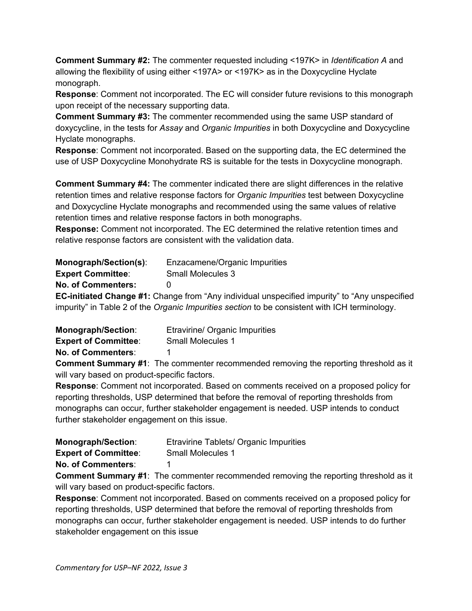**Comment Summary #2:** The commenter requested including <197K> in *Identification A* and allowing the flexibility of using either <197A> or <197K> as in the Doxycycline Hyclate monograph.

**Response**: Comment not incorporated. The EC will consider future revisions to this monograph upon receipt of the necessary supporting data.

**Comment Summary #3:** The commenter recommended using the same USP standard of doxycycline, in the tests for *Assay* and *Organic Impurities* in both Doxycycline and Doxycycline Hyclate monographs.

**Response**: Comment not incorporated. Based on the supporting data, the EC determined the use of USP Doxycycline Monohydrate RS is suitable for the tests in Doxycycline monograph.

**Comment Summary #4:** The commenter indicated there are slight differences in the relative retention times and relative response factors for *Organic Impurities* test between Doxycycline and Doxycycline Hyclate monographs and recommended using the same values of relative retention times and relative response factors in both monographs.

**Response:** Comment not incorporated. The EC determined the relative retention times and relative response factors are consistent with the validation data.

<span id="page-30-0"></span>

| <b>Monograph/Section(s):</b> | Enzacamene/Organic Impurities |
|------------------------------|-------------------------------|
| <b>Expert Committee:</b>     | <b>Small Molecules 3</b>      |
| <b>No. of Commenters:</b>    |                               |

**EC-initiated Change #1:** Change from "Any individual unspecified impurity" to "Any unspecified impurity" in Table 2 of the *Organic Impurities section* to be consistent with ICH terminology.

<span id="page-30-1"></span>

| <b>Monograph/Section:</b>   | Etravirine/ Organic Impurities |
|-----------------------------|--------------------------------|
| <b>Expert of Committee:</b> | <b>Small Molecules 1</b>       |
| <b>No. of Commenters:</b>   |                                |

**Comment Summary #1**: The commenter recommended removing the reporting threshold as it will vary based on product-specific factors.

**Response**: Comment not incorporated. Based on comments received on a proposed policy for reporting thresholds, USP determined that before the removal of reporting thresholds from monographs can occur, further stakeholder engagement is needed. USP intends to conduct further stakeholder engagement on this issue.

<span id="page-30-2"></span>

| <b>Monograph/Section:</b>   | Etravirine Tablets/ Organic Impurities |
|-----------------------------|----------------------------------------|
| <b>Expert of Committee:</b> | <b>Small Molecules 1</b>               |
| <b>No. of Commenters:</b>   |                                        |

**Comment Summary #1**: The commenter recommended removing the reporting threshold as it will vary based on product-specific factors.

**Response**: Comment not incorporated. Based on comments received on a proposed policy for reporting thresholds, USP determined that before the removal of reporting thresholds from monographs can occur, further stakeholder engagement is needed. USP intends to do further stakeholder engagement on this issue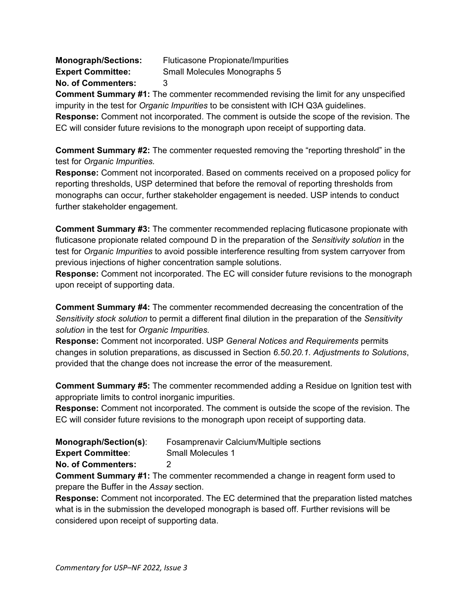<span id="page-31-0"></span>**Monograph/Sections:** Fluticasone Propionate/Impurities **Expert Committee:** Small Molecules Monographs 5 **No. of Commenters:** 3

**Comment Summary #1:** The commenter recommended revising the limit for any unspecified impurity in the test for *Organic Impurities* to be consistent with ICH Q3A guidelines. **Response:** Comment not incorporated. The comment is outside the scope of the revision. The

EC will consider future revisions to the monograph upon receipt of supporting data.

**Comment Summary #2:** The commenter requested removing the "reporting threshold" in the test for *Organic Impurities.*

**Response:** Comment not incorporated. Based on comments received on a proposed policy for reporting thresholds, USP determined that before the removal of reporting thresholds from monographs can occur, further stakeholder engagement is needed. USP intends to conduct further stakeholder engagement.

**Comment Summary #3:** The commenter recommended replacing fluticasone propionate with fluticasone propionate related compound D in the preparation of the *Sensitivity solution* in the test for *Organic Impurities* to avoid possible interference resulting from system carryover from previous injections of higher concentration sample solutions.

**Response:** Comment not incorporated. The EC will consider future revisions to the monograph upon receipt of supporting data.

**Comment Summary #4:** The commenter recommended decreasing the concentration of the *Sensitivity stock solution* to permit a different final dilution in the preparation of the *Sensitivity solution* in the test for *Organic Impurities.*

**Response:** Comment not incorporated. USP *General Notices and Requirements* permits changes in solution preparations, as discussed in Section *6.50.20.1. Adjustments to Solutions*, provided that the change does not increase the error of the measurement.

**Comment Summary #5:** The commenter recommended adding a Residue on Ignition test with appropriate limits to control inorganic impurities.

**Response:** Comment not incorporated. The comment is outside the scope of the revision. The EC will consider future revisions to the monograph upon receipt of supporting data.

<span id="page-31-1"></span>

| Monograph/Section(s):     | Fosamprenavir Calcium/Multiple sections |
|---------------------------|-----------------------------------------|
| <b>Expert Committee:</b>  | Small Molecules 1                       |
| <b>No. of Commenters:</b> |                                         |

**Comment Summary #1:** The commenter recommended a change in reagent form used to prepare the Buffer in the *Assay* section.

**Response:** Comment not incorporated. The EC determined that the preparation listed matches what is in the submission the developed monograph is based off. Further revisions will be considered upon receipt of supporting data.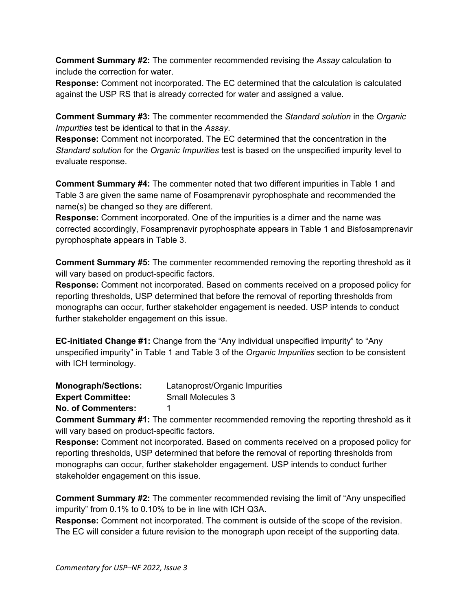**Comment Summary #2:** The commenter recommended revising the *Assay* calculation to include the correction for water.

**Response:** Comment not incorporated. The EC determined that the calculation is calculated against the USP RS that is already corrected for water and assigned a value.

**Comment Summary #3:** The commenter recommended the *Standard solution* in the *Organic Impurities* test be identical to that in the *Assay*.

**Response:** Comment not incorporated. The EC determined that the concentration in the *Standard solution* for the *Organic Impurities* test is based on the unspecified impurity level to evaluate response.

**Comment Summary #4:** The commenter noted that two different impurities in Table 1 and Table 3 are given the same name of Fosamprenavir pyrophosphate and recommended the name(s) be changed so they are different.

**Response:** Comment incorporated. One of the impurities is a dimer and the name was corrected accordingly, Fosamprenavir pyrophosphate appears in Table 1 and Bisfosamprenavir pyrophosphate appears in Table 3.

**Comment Summary #5:** The commenter recommended removing the reporting threshold as it will vary based on product-specific factors.

**Response:** Comment not incorporated. Based on comments received on a proposed policy for reporting thresholds, USP determined that before the removal of reporting thresholds from monographs can occur, further stakeholder engagement is needed. USP intends to conduct further stakeholder engagement on this issue.

**EC-initiated Change #1:** Change from the "Any individual unspecified impurity" to "Any unspecified impurity" in Table 1 and Table 3 of the *Organic Impurities* section to be consistent with ICH terminology.

<span id="page-32-0"></span>**Monograph/Sections:** Latanoprost/Organic Impurities

**Expert Committee:** Small Molecules 3

**No. of Commenters:** 1

**Comment Summary #1:** The commenter recommended removing the reporting threshold as it will vary based on product-specific factors.

**Response:** Comment not incorporated. Based on comments received on a proposed policy for reporting thresholds, USP determined that before the removal of reporting thresholds from monographs can occur, further stakeholder engagement. USP intends to conduct further stakeholder engagement on this issue.

**Comment Summary #2:** The commenter recommended revising the limit of "Any unspecified impurity" from 0.1% to 0.10% to be in line with ICH Q3A.

**Response:** Comment not incorporated. The comment is outside of the scope of the revision. The EC will consider a future revision to the monograph upon receipt of the supporting data.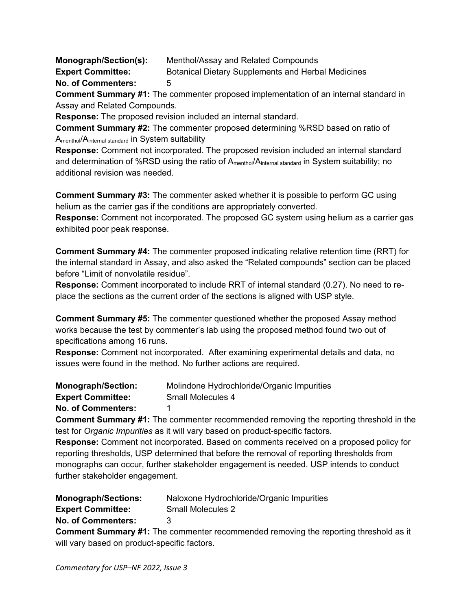<span id="page-33-0"></span>**Monograph/Section(s):** Menthol/Assay and Related Compounds **Expert Committee:** Botanical Dietary Supplements and Herbal Medicines **No. of Commenters:** 5

**Comment Summary #1:** The commenter proposed implementation of an internal standard in Assay and Related Compounds.

**Response:** The proposed revision included an internal standard.

**Comment Summary #2:** The commenter proposed determining %RSD based on ratio of Amenthol/Ainternal standard in System suitability

**Response:** Comment not incorporated. The proposed revision included an internal standard and determination of %RSD using the ratio of A<sub>menthol</sub>/A<sub>internal standard</sub> in System suitability; no additional revision was needed.

**Comment Summary #3:** The commenter asked whether it is possible to perform GC using helium as the carrier gas if the conditions are appropriately converted.

**Response:** Comment not incorporated. The proposed GC system using helium as a carrier gas exhibited poor peak response.

**Comment Summary #4:** The commenter proposed indicating relative retention time (RRT) for the internal standard in Assay, and also asked the "Related compounds" section can be placed before "Limit of nonvolatile residue".

**Response:** Comment incorporated to include RRT of internal standard (0.27). No need to replace the sections as the current order of the sections is aligned with USP style.

**Comment Summary #5:** The commenter questioned whether the proposed Assay method works because the test by commenter's lab using the proposed method found two out of specifications among 16 runs.

**Response:** Comment not incorporated.After examining experimental details and data, no issues were found in the method. No further actions are required.

<span id="page-33-1"></span>

| <b>Monograph/Section:</b> | Molindone Hydrochloride/Organic Impurities |
|---------------------------|--------------------------------------------|
| <b>Expert Committee:</b>  | Small Molecules 4                          |
| <b>No. of Commenters:</b> |                                            |

**Comment Summary #1:** The commenter recommended removing the reporting threshold in the test for *Organic Impurities* as it will vary based on product-specific factors.

**Response:** Comment not incorporated. Based on comments received on a proposed policy for reporting thresholds, USP determined that before the removal of reporting thresholds from monographs can occur, further stakeholder engagement is needed. USP intends to conduct further stakeholder engagement.

<span id="page-33-2"></span>

| <b>Monograph/Sections:</b> | Naloxone Hydrochloride/Organic Impurities |
|----------------------------|-------------------------------------------|
| <b>Expert Committee:</b>   | <b>Small Molecules 2</b>                  |

**No. of Commenters:** 3

**Comment Summary #1:** The commenter recommended removing the reporting threshold as it will vary based on product-specific factors.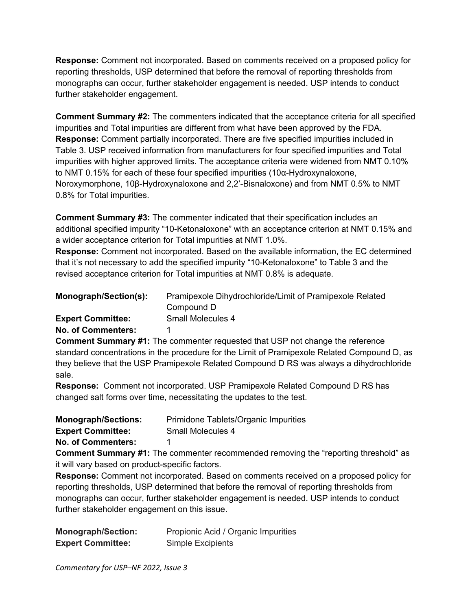**Response:** Comment not incorporated. Based on comments received on a proposed policy for reporting thresholds, USP determined that before the removal of reporting thresholds from monographs can occur, further stakeholder engagement is needed. USP intends to conduct further stakeholder engagement.

**Comment Summary #2:** The commenters indicated that the acceptance criteria for all specified impurities and Total impurities are different from what have been approved by the FDA. **Response:** Comment partially incorporated. There are five specified impurities included in Table 3. USP received information from manufacturers for four specified impurities and Total impurities with higher approved limits. The acceptance criteria were widened from NMT 0.10% to NMT 0.15% for each of these four specified impurities (10α-Hydroxynaloxone, Noroxymorphone, 10β-Hydroxynaloxone and 2,2'-Bisnaloxone) and from NMT 0.5% to NMT 0.8% for Total impurities.

**Comment Summary #3:** The commenter indicated that their specification includes an additional specified impurity "10-Ketonaloxone" with an acceptance criterion at NMT 0.15% and a wider acceptance criterion for Total impurities at NMT 1.0%.

**Response:** Comment not incorporated. Based on the available information, the EC determined that it's not necessary to add the specified impurity "10-Ketonaloxone" to Table 3 and the revised acceptance criterion for Total impurities at NMT 0.8% is adequate.

<span id="page-34-0"></span>

| Monograph/Section(s):     | Pramipexole Dihydrochloride/Limit of Pramipexole Related<br>Compound D |
|---------------------------|------------------------------------------------------------------------|
| <b>Expert Committee:</b>  | Small Molecules 4                                                      |
| <b>No. of Commenters:</b> |                                                                        |

**Comment Summary #1:** The commenter requested that USP not change the reference standard concentrations in the procedure for the Limit of Pramipexole Related Compound D, as they believe that the USP Pramipexole Related Compound D RS was always a dihydrochloride sale.

**Response:** Comment not incorporated. USP Pramipexole Related Compound D RS has changed salt forms over time, necessitating the updates to the test.

<span id="page-34-1"></span>

| <b>Monograph/Sections:</b> | Primidone Tablets/Organic Impurities |
|----------------------------|--------------------------------------|
| <b>Expert Committee:</b>   | <b>Small Molecules 4</b>             |

**No. of Commenters:** 1

**Comment Summary #1:** The commenter recommended removing the "reporting threshold" as it will vary based on product-specific factors.

**Response:** Comment not incorporated. Based on comments received on a proposed policy for reporting thresholds, USP determined that before the removal of reporting thresholds from monographs can occur, further stakeholder engagement is needed. USP intends to conduct further stakeholder engagement on this issue.

<span id="page-34-2"></span>

| <b>Monograph/Section:</b> | Propionic Acid / Organic Impurities |
|---------------------------|-------------------------------------|
| <b>Expert Committee:</b>  | Simple Excipients                   |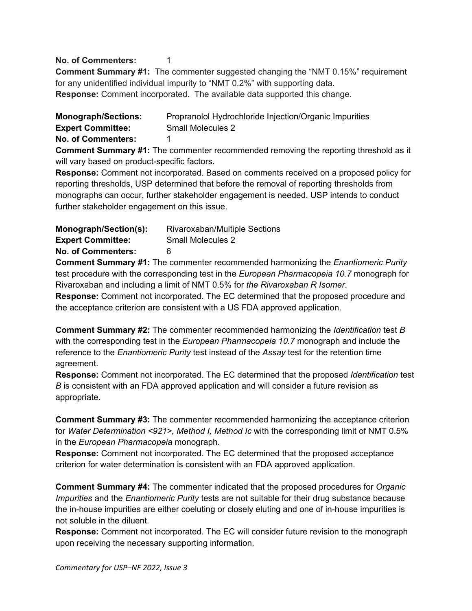# **No. of Commenters:** 1

**Comment Summary #1:** The commenter suggested changing the "NMT 0.15%" requirement for any unidentified individual impurity to "NMT 0.2%" with supporting data. **Response:** Comment incorporated. The available data supported this change.

<span id="page-35-0"></span>**Monograph/Sections:** Propranolol Hydrochloride Injection/Organic Impurities **Expert Committee:** Small Molecules 2 **No. of Commenters:** 1

**Comment Summary #1:** The commenter recommended removing the reporting threshold as it will vary based on product-specific factors.

**Response:** Comment not incorporated. Based on comments received on a proposed policy for reporting thresholds, USP determined that before the removal of reporting thresholds from monographs can occur, further stakeholder engagement is needed. USP intends to conduct further stakeholder engagement on this issue.

<span id="page-35-1"></span>

| Monograph/Section(s):     | Rivaroxaban/Multiple Sections |
|---------------------------|-------------------------------|
| <b>Expert Committee:</b>  | <b>Small Molecules 2</b>      |
| <b>No. of Commenters:</b> | 6                             |

**Comment Summary #1:** The commenter recommended harmonizing the *Enantiomeric Purity* test procedure with the corresponding test in the *European Pharmacopeia 10.7* monograph for Rivaroxaban and including a limit of NMT 0.5% for *the Rivaroxaban R Isomer*.

**Response:** Comment not incorporated. The EC determined that the proposed procedure and the acceptance criterion are consistent with a US FDA approved application.

**Comment Summary #2:** The commenter recommended harmonizing the *Identification* test *B* with the corresponding test in the *European Pharmacopeia 10.7* monograph and include the reference to the *Enantiomeric Purity* test instead of the *Assay* test for the retention time agreement.

**Response:** Comment not incorporated. The EC determined that the proposed *Identification* test *B* is consistent with an FDA approved application and will consider a future revision as appropriate.

**Comment Summary #3:** The commenter recommended harmonizing the acceptance criterion for *Water Determination <921>, Method I, Method Ic* with the corresponding limit of NMT 0.5% in the *European Pharmacopeia* monograph.

**Response:** Comment not incorporated. The EC determined that the proposed acceptance criterion for water determination is consistent with an FDA approved application.

**Comment Summary #4:** The commenter indicated that the proposed procedures for *Organic Impurities* and the *Enantiomeric Purity* tests are not suitable for their drug substance because the in-house impurities are either coeluting or closely eluting and one of in-house impurities is not soluble in the diluent.

**Response:** Comment not incorporated. The EC will consider future revision to the monograph upon receiving the necessary supporting information.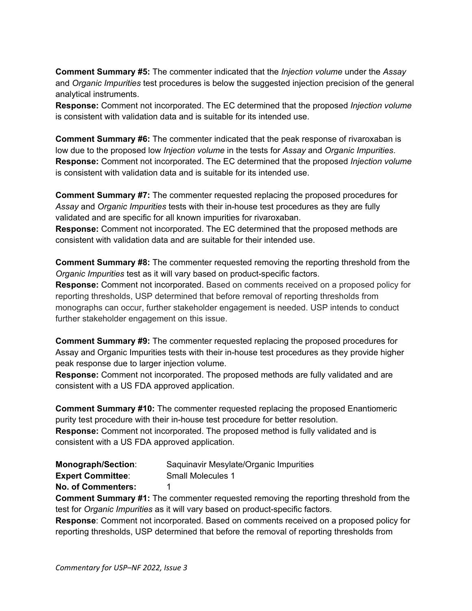**Comment Summary #5:** The commenter indicated that the *Injection volume* under the *Assay* and *Organic Impurities* test procedures is below the suggested injection precision of the general analytical instruments.

**Response:** Comment not incorporated. The EC determined that the proposed *Injection volume* is consistent with validation data and is suitable for its intended use.

**Comment Summary #6:** The commenter indicated that the peak response of rivaroxaban is low due to the proposed low *Injection volume* in the tests for *Assay* and *Organic Impurities*. **Response:** Comment not incorporated. The EC determined that the proposed *Injection volume* is consistent with validation data and is suitable for its intended use.

**Comment Summary #7:** The commenter requested replacing the proposed procedures for *Assay* and *Organic Impurities* tests with their in-house test procedures as they are fully validated and are specific for all known impurities for rivaroxaban. **Response:** Comment not incorporated. The EC determined that the proposed methods are consistent with validation data and are suitable for their intended use.

**Comment Summary #8:** The commenter requested removing the reporting threshold from the *Organic Impurities* test as it will vary based on product-specific factors.

**Response:** Comment not incorporated. Based on comments received on a proposed policy for reporting thresholds, USP determined that before removal of reporting thresholds from monographs can occur, further stakeholder engagement is needed. USP intends to conduct further stakeholder engagement on this issue.

**Comment Summary #9:** The commenter requested replacing the proposed procedures for Assay and Organic Impurities tests with their in-house test procedures as they provide higher peak response due to larger injection volume.

**Response:** Comment not incorporated. The proposed methods are fully validated and are consistent with a US FDA approved application.

**Comment Summary #10:** The commenter requested replacing the proposed Enantiomeric purity test procedure with their in-house test procedure for better resolution. **Response:** Comment not incorporated. The proposed method is fully validated and is consistent with a US FDA approved application.

<span id="page-36-0"></span>

| Monograph/Section: | Saquinavir Mesylate/Organic Impurities |
|--------------------|----------------------------------------|
|--------------------|----------------------------------------|

**Expert Committee:** Small Molecules 1

**No. of Commenters:** 1

**Comment Summary #1:** The commenter requested removing the reporting threshold from the test for *Organic Impurities* as it will vary based on product-specific factors.

**Response**: Comment not incorporated. Based on comments received on a proposed policy for reporting thresholds, USP determined that before the removal of reporting thresholds from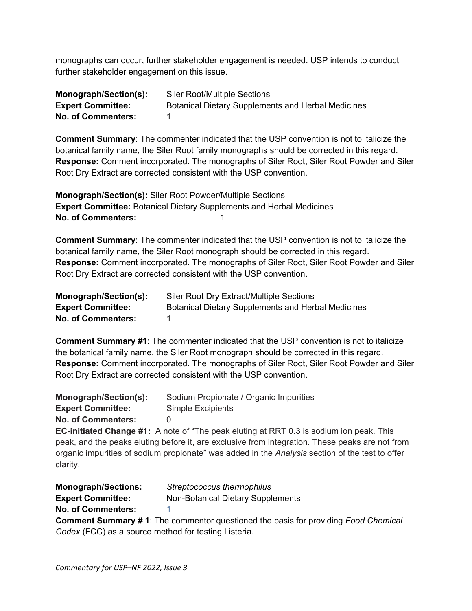monographs can occur, further stakeholder engagement is needed. USP intends to conduct further stakeholder engagement on this issue.

<span id="page-37-0"></span>

| Monograph/Section(s):     | <b>Siler Root/Multiple Sections</b>                       |
|---------------------------|-----------------------------------------------------------|
| <b>Expert Committee:</b>  | <b>Botanical Dietary Supplements and Herbal Medicines</b> |
| <b>No. of Commenters:</b> |                                                           |

**Comment Summary**: The commenter indicated that the USP convention is not to italicize the botanical family name, the Siler Root family monographs should be corrected in this regard. **Response:** Comment incorporated. The monographs of Siler Root, Siler Root Powder and Siler Root Dry Extract are corrected consistent with the USP convention.

**Monograph/Section(s):** Siler Root Powder/Multiple Sections **Expert Committee:** Botanical Dietary Supplements and Herbal Medicines **No. of Commenters:** 1

**Comment Summary**: The commenter indicated that the USP convention is not to italicize the botanical family name, the Siler Root monograph should be corrected in this regard. **Response:** Comment incorporated. The monographs of Siler Root, Siler Root Powder and Siler Root Dry Extract are corrected consistent with the USP convention.

<span id="page-37-3"></span>

| Monograph/Section(s):     | Siler Root Dry Extract/Multiple Sections                  |
|---------------------------|-----------------------------------------------------------|
| <b>Expert Committee:</b>  | <b>Botanical Dietary Supplements and Herbal Medicines</b> |
| <b>No. of Commenters:</b> |                                                           |

**Comment Summary #1**: The commenter indicated that the USP convention is not to italicize the botanical family name, the Siler Root monograph should be corrected in this regard. **Response:** Comment incorporated. The monographs of Siler Root, Siler Root Powder and Siler Root Dry Extract are corrected consistent with the USP convention.

<span id="page-37-2"></span>

| Monograph/Section(s):     | Sodium Propionate / Organic Impurities                                          |
|---------------------------|---------------------------------------------------------------------------------|
| <b>Expert Committee:</b>  | Simple Excipients                                                               |
| <b>No. of Commenters:</b> |                                                                                 |
|                           | <b>EC-initiated Channe #1:</b> A note of "The neak eluting at RRT 0.3 is sodium |

**EC-initiated Change #1:** A note of "The peak eluting at RRT 0.3 is sodium ion peak. This peak, and the peaks eluting before it, are exclusive from integration. These peaks are not from organic impurities of sodium propionate" was added in the *Analysis* section of the test to offer clarity.

<span id="page-37-1"></span>

| <b>Monograph/Sections:</b> | Streptococcus thermophilus        |
|----------------------------|-----------------------------------|
| <b>Expert Committee:</b>   | Non-Botanical Dietary Supplements |
| <b>No. of Commenters:</b>  |                                   |
|                            |                                   |

**Comment Summary # 1**: The commentor questioned the basis for providing *Food Chemical Codex* (FCC) as a source method for testing Listeria.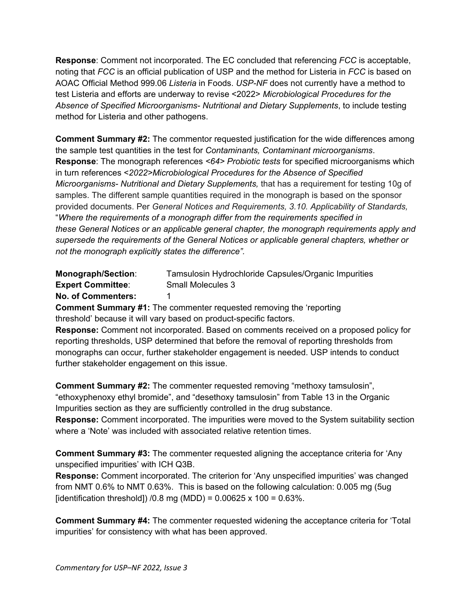**Response**: Comment not incorporated. The EC concluded that referencing *FCC* is acceptable, noting that *FCC* is an official publication of USP and the method for Listeria in *FCC* is based on AOAC Official Method 999.06 *Listeria* in Foods. *USP-NF* does not currently have a method to test Listeria and efforts are underway to revise <2022> *Microbiological Procedures for the Absence of Specified Microorganisms- Nutritional and Dietary Supplements*, to include testing method for Listeria and other pathogens.

**Comment Summary #2:** The commentor requested justification for the wide differences among the sample test quantities in the test for *Contaminants, Contaminant microorganisms*. **Response**: The monograph references *<64> Probiotic tests* for specified microorganisms which in turn references <*2022>Microbiological Procedures for the Absence of Specified Microorganisms- Nutritional and Dietary Supplements,* that has a requirement for testing 10g of samples. The different sample quantities required in the monograph is based on the sponsor provided documents. Per *General Notices and Requirements, 3.10. Applicability of Standards,* "*Where the requirements of a monograph differ from the requirements specified in these General Notices or an applicable general chapter, the monograph requirements apply and supersede the requirements of the General Notices or applicable general chapters, whether or not the monograph explicitly states the difference".*

<span id="page-38-0"></span>

| Monograph/Section:        | Tamsulosin Hydrochloride Capsules/Organic Impurities |
|---------------------------|------------------------------------------------------|
| <b>Expert Committee:</b>  | Small Molecules 3                                    |
| <b>No. of Commenters:</b> |                                                      |

**Comment Summary #1:** The commenter requested removing the 'reporting threshold' because it will vary based on product-specific factors.

**Response:** Comment not incorporated. Based on comments received on a proposed policy for reporting thresholds, USP determined that before the removal of reporting thresholds from monographs can occur, further stakeholder engagement is needed. USP intends to conduct further stakeholder engagement on this issue.

**Comment Summary #2:** The commenter requested removing "methoxy tamsulosin", "ethoxyphenoxy ethyl bromide", and "desethoxy tamsulosin" from Table 13 in the Organic Impurities section as they are sufficiently controlled in the drug substance.

**Response:** Comment incorporated. The impurities were moved to the System suitability section where a 'Note' was included with associated relative retention times.

**Comment Summary #3:** The commenter requested aligning the acceptance criteria for 'Any unspecified impurities' with ICH Q3B.

**Response:** Comment incorporated. The criterion for 'Any unspecified impurities' was changed from NMT 0.6% to NMT 0.63%. This is based on the following calculation: 0.005 mg (5ug [identification threshold])  $/0.8$  mg (MDD) = 0.00625 x 100 = 0.63%.

**Comment Summary #4:** The commenter requested widening the acceptance criteria for 'Total impurities' for consistency with what has been approved.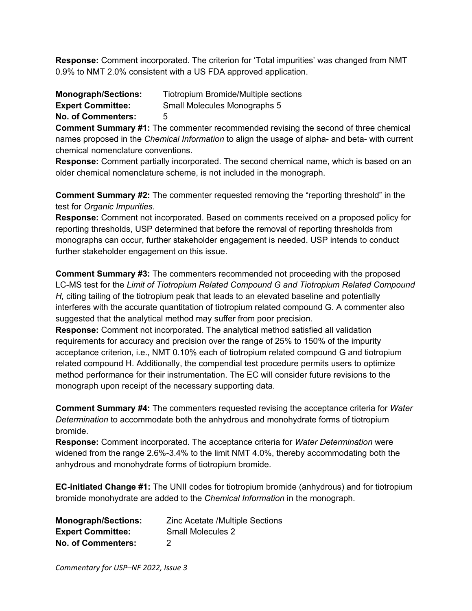**Response:** Comment incorporated. The criterion for 'Total impurities' was changed from NMT 0.9% to NMT 2.0% consistent with a US FDA approved application.

<span id="page-39-0"></span>

| <b>Monograph/Sections:</b> | Tiotropium Bromide/Multiple sections |
|----------------------------|--------------------------------------|
| <b>Expert Committee:</b>   | Small Molecules Monographs 5         |
| <b>No. of Commenters:</b>  | 5                                    |

**Comment Summary #1:** The commenter recommended revising the second of three chemical names proposed in the *Chemical Information* to align the usage of alpha- and beta- with current chemical nomenclature conventions.

**Response:** Comment partially incorporated. The second chemical name, which is based on an older chemical nomenclature scheme, is not included in the monograph.

**Comment Summary #2:** The commenter requested removing the "reporting threshold" in the test for *Organic Impurities.*

**Response:** Comment not incorporated. Based on comments received on a proposed policy for reporting thresholds, USP determined that before the removal of reporting thresholds from monographs can occur, further stakeholder engagement is needed. USP intends to conduct further stakeholder engagement on this issue.

**Comment Summary #3:** The commenters recommended not proceeding with the proposed LC-MS test for the *Limit of Tiotropium Related Compound G and Tiotropium Related Compound H,* citing tailing of the tiotropium peak that leads to an elevated baseline and potentially interferes with the accurate quantitation of tiotropium related compound G. A commenter also suggested that the analytical method may suffer from poor precision.

**Response:** Comment not incorporated. The analytical method satisfied all validation requirements for accuracy and precision over the range of 25% to 150% of the impurity acceptance criterion, i.e., NMT 0.10% each of tiotropium related compound G and tiotropium related compound H. Additionally, the compendial test procedure permits users to optimize method performance for their instrumentation. The EC will consider future revisions to the monograph upon receipt of the necessary supporting data.

**Comment Summary #4:** The commenters requested revising the acceptance criteria for *Water Determination* to accommodate both the anhydrous and monohydrate forms of tiotropium bromide.

**Response:** Comment incorporated. The acceptance criteria for *Water Determination* were widened from the range 2.6%-3.4% to the limit NMT 4.0%, thereby accommodating both the anhydrous and monohydrate forms of tiotropium bromide.

**EC-initiated Change #1:** The UNII codes for tiotropium bromide (anhydrous) and for tiotropium bromide monohydrate are added to the *Chemical Information* in the monograph.

| <b>Monograph/Sections:</b> | <b>Zinc Acetate /Multiple Sections</b> |
|----------------------------|----------------------------------------|
| <b>Expert Committee:</b>   | Small Molecules 2                      |
| <b>No. of Commenters:</b>  | -2.                                    |